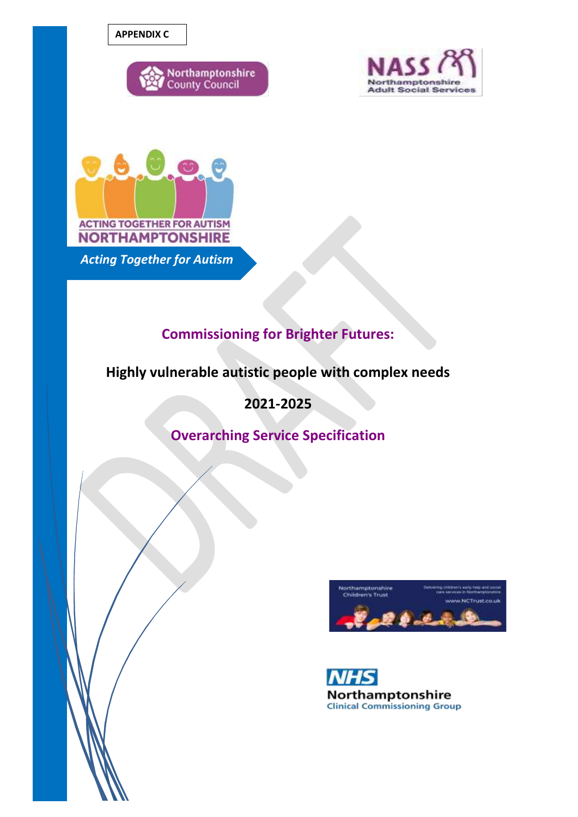**APPENDIX C**







*Acting Together for Autism*

# **Commissioning for Brighter Futures:**

# **Highly vulnerable autistic people with complex needs**

**2021-2025**

**Overarching Service Specification**



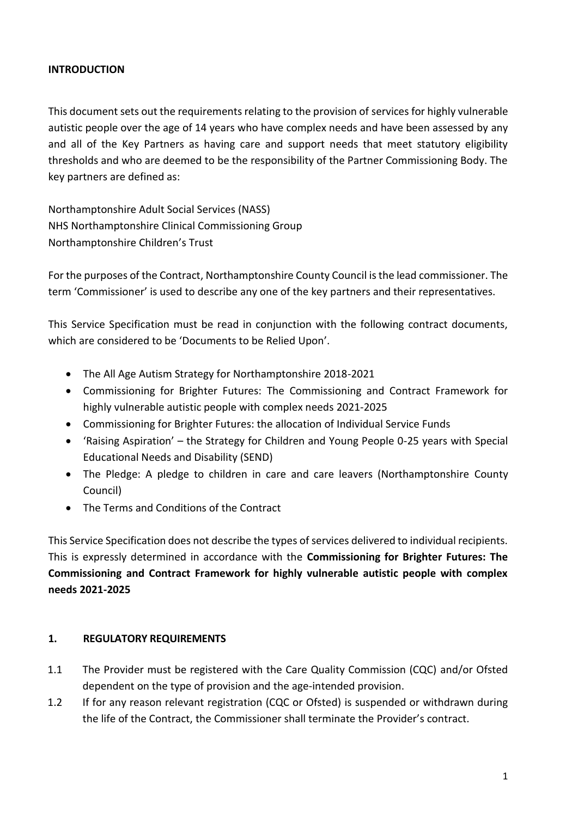#### **INTRODUCTION**

This document sets out the requirements relating to the provision of services for highly vulnerable autistic people over the age of 14 years who have complex needs and have been assessed by any and all of the Key Partners as having care and support needs that meet statutory eligibility thresholds and who are deemed to be the responsibility of the Partner Commissioning Body. The key partners are defined as:

Northamptonshire Adult Social Services (NASS) NHS Northamptonshire Clinical Commissioning Group Northamptonshire Children's Trust

For the purposes of the Contract, Northamptonshire County Council isthe lead commissioner. The term 'Commissioner' is used to describe any one of the key partners and their representatives.

This Service Specification must be read in conjunction with the following contract documents, which are considered to be 'Documents to be Relied Upon'.

- The All Age Autism Strategy for Northamptonshire 2018-2021
- Commissioning for Brighter Futures: The Commissioning and Contract Framework for highly vulnerable autistic people with complex needs 2021-2025
- Commissioning for Brighter Futures: the allocation of Individual Service Funds
- 'Raising Aspiration' the Strategy for Children and Young People 0-25 years with Special Educational Needs and Disability (SEND)
- The Pledge: A pledge to children in care and care leavers (Northamptonshire County Council)
- The Terms and Conditions of the Contract

This Service Specification does not describe the types of services delivered to individual recipients. This is expressly determined in accordance with the **Commissioning for Brighter Futures: The Commissioning and Contract Framework for highly vulnerable autistic people with complex needs 2021-2025**

# **1. REGULATORY REQUIREMENTS**

- 1.1 The Provider must be registered with the Care Quality Commission (CQC) and/or Ofsted dependent on the type of provision and the age-intended provision.
- 1.2 If for any reason relevant registration (CQC or Ofsted) is suspended or withdrawn during the life of the Contract, the Commissioner shall terminate the Provider's contract.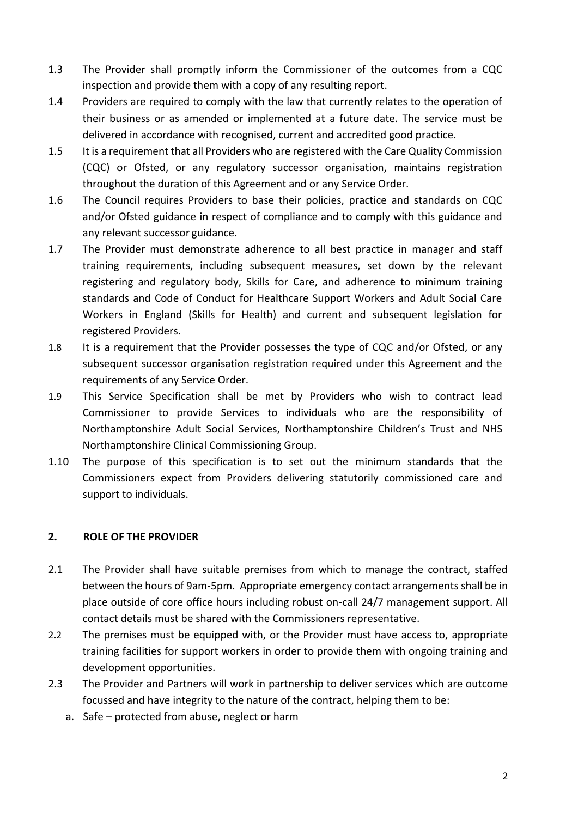- 1.3 The Provider shall promptly inform the Commissioner of the outcomes from a CQC inspection and provide them with a copy of any resulting report.
- 1.4 Providers are required to comply with the law that currently relates to the operation of their business or as amended or implemented at a future date. The service must be delivered in accordance with recognised, current and accredited good practice.
- 1.5 It is a requirement that all Providers who are registered with the Care Quality Commission (CQC) or Ofsted, or any regulatory successor organisation, maintains registration throughout the duration of this Agreement and or any Service Order.
- 1.6 The Council requires Providers to base their policies, practice and standards on CQC and/or Ofsted guidance in respect of compliance and to comply with this guidance and any relevant successor guidance.
- 1.7 The Provider must demonstrate adherence to all best practice in manager and staff training requirements, including subsequent measures, set down by the relevant registering and regulatory body, Skills for Care, and adherence to minimum training standards and Code of Conduct for Healthcare Support Workers and Adult Social Care Workers in England (Skills for Health) and current and subsequent legislation for registered Providers.
- 1.8 It is a requirement that the Provider possesses the type of CQC and/or Ofsted, or any subsequent successor organisation registration required under this Agreement and the requirements of any Service Order.
- 1.9 This Service Specification shall be met by Providers who wish to contract lead Commissioner to provide Services to individuals who are the responsibility of Northamptonshire Adult Social Services, Northamptonshire Children's Trust and NHS Northamptonshire Clinical Commissioning Group.
- 1.10 The purpose of this specification is to set out the minimum standards that the Commissioners expect from Providers delivering statutorily commissioned care and support to individuals.

# **2. ROLE OF THE PROVIDER**

- 2.1 The Provider shall have suitable premises from which to manage the contract, staffed between the hours of 9am-5pm. Appropriate emergency contact arrangements shall be in place outside of core office hours including robust on-call 24/7 management support. All contact details must be shared with the Commissioners representative.
- 2.2 The premises must be equipped with, or the Provider must have access to, appropriate training facilities for support workers in order to provide them with ongoing training and development opportunities.
- 2.3 The Provider and Partners will work in partnership to deliver services which are outcome focussed and have integrity to the nature of the contract, helping them to be:
	- a. Safe protected from abuse, neglect or harm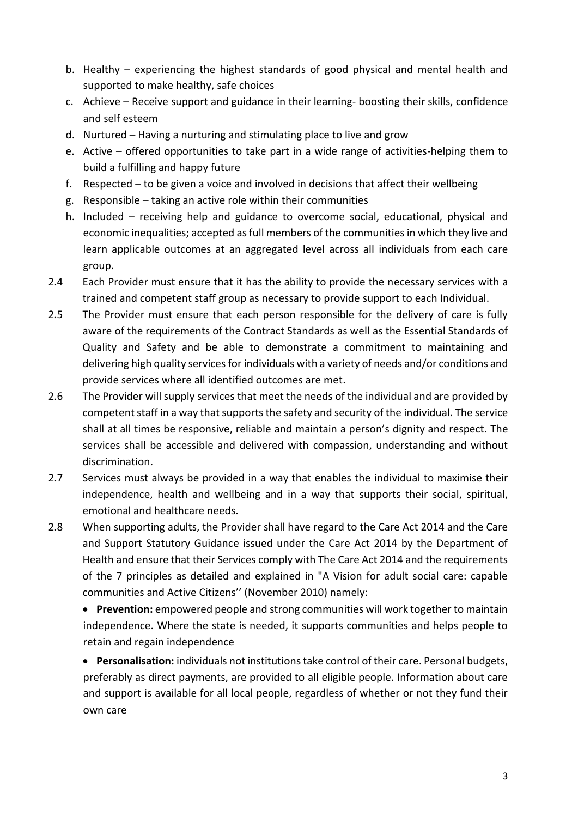- b. Healthy experiencing the highest standards of good physical and mental health and supported to make healthy, safe choices
- c. Achieve Receive support and guidance in their learning- boosting their skills, confidence and self esteem
- d. Nurtured Having a nurturing and stimulating place to live and grow
- e. Active offered opportunities to take part in a wide range of activities-helping them to build a fulfilling and happy future
- f. Respected to be given a voice and involved in decisions that affect their wellbeing
- g. Responsible taking an active role within their communities
- h. Included receiving help and guidance to overcome social, educational, physical and economic inequalities; accepted as full members of the communities in which they live and learn applicable outcomes at an aggregated level across all individuals from each care group.
- 2.4 Each Provider must ensure that it has the ability to provide the necessary services with a trained and competent staff group as necessary to provide support to each Individual.
- 2.5 The Provider must ensure that each person responsible for the delivery of care is fully aware of the requirements of the Contract Standards as well as the Essential Standards of Quality and Safety and be able to demonstrate a commitment to maintaining and delivering high quality services for individuals with a variety of needs and/or conditions and provide services where all identified outcomes are met.
- 2.6 The Provider will supply services that meet the needs of the individual and are provided by competent staff in a way that supports the safety and security of the individual. The service shall at all times be responsive, reliable and maintain a person's dignity and respect. The services shall be accessible and delivered with compassion, understanding and without discrimination.
- 2.7 Services must always be provided in a way that enables the individual to maximise their independence, health and wellbeing and in a way that supports their social, spiritual, emotional and healthcare needs.
- 2.8 When supporting adults, the Provider shall have regard to the Care Act 2014 and the Care and Support Statutory Guidance issued under the Care Act 2014 by the Department of Health and ensure that their Services comply with The Care Act 2014 and the requirements of the 7 principles as detailed and explained in "A Vision for adult social care: capable communities and Active Citizens'' (November 2010) namely:

 **Prevention:** empowered people and strong communities will work together to maintain independence. Where the state is needed, it supports communities and helps people to retain and regain independence

 **Personalisation:** individuals not institutions take control of their care. Personal budgets, preferably as direct payments, are provided to all eligible people. Information about care and support is available for all local people, regardless of whether or not they fund their own care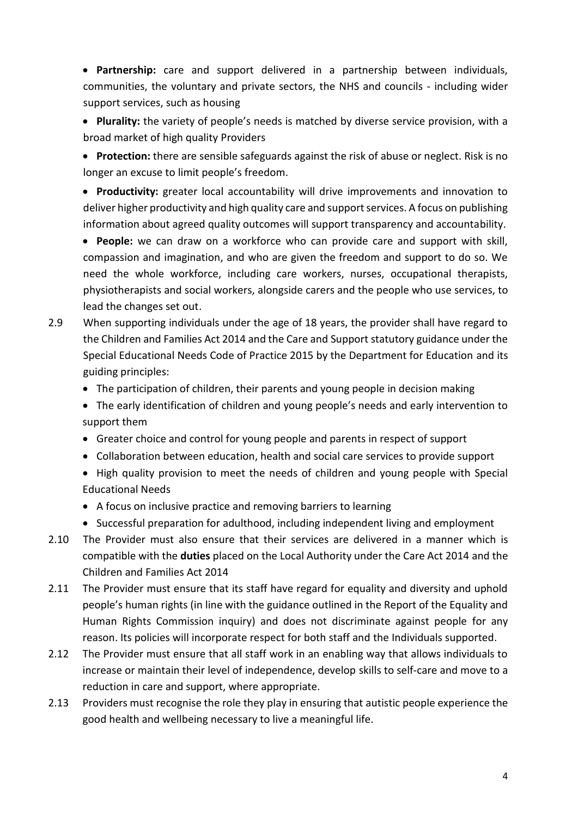**Partnership:** care and support delivered in a partnership between individuals, communities, the voluntary and private sectors, the NHS and councils - including wider support services, such as housing

 **Plurality:** the variety of people's needs is matched by diverse service provision, with a broad market of high quality Providers

 **Protection:** there are sensible safeguards against the risk of abuse or neglect. Risk is no longer an excuse to limit people's freedom.

 **Productivity:** greater local accountability will drive improvements and innovation to deliver higher productivity and high quality care and support services. A focus on publishing information about agreed quality outcomes will support transparency and accountability.

 **People:** we can draw on a workforce who can provide care and support with skill, compassion and imagination, and who are given the freedom and support to do so. We need the whole workforce, including care workers, nurses, occupational therapists, physiotherapists and social workers, alongside carers and the people who use services, to lead the changes set out.

- 2.9 When supporting individuals under the age of 18 years, the provider shall have regard to the Children and Families Act 2014 and the Care and Support statutory guidance under the Special Educational Needs Code of Practice 2015 by the Department for Education and its guiding principles:
	- The participation of children, their parents and young people in decision making
	- The early identification of children and young people's needs and early intervention to support them
	- Greater choice and control for young people and parents in respect of support
	- Collaboration between education, health and social care services to provide support
	- High quality provision to meet the needs of children and young people with Special Educational Needs
	- A focus on inclusive practice and removing barriers to learning
	- Successful preparation for adulthood, including independent living and employment
- 2.10 The Provider must also ensure that their services are delivered in a manner which is compatible with the **duties** placed on the Local Authority under the Care Act 2014 and the Children and Families Act 2014
- 2.11 The Provider must ensure that its staff have regard for equality and diversity and uphold people's human rights (in line with the guidance outlined in the Report of the Equality and Human Rights Commission inquiry) and does not discriminate against people for any reason. Its policies will incorporate respect for both staff and the Individuals supported.
- 2.12 The Provider must ensure that all staff work in an enabling way that allows individuals to increase or maintain their level of independence, develop skills to self-care and move to a reduction in care and support, where appropriate.
- 2.13 Providers must recognise the role they play in ensuring that autistic people experience the good health and wellbeing necessary to live a meaningful life.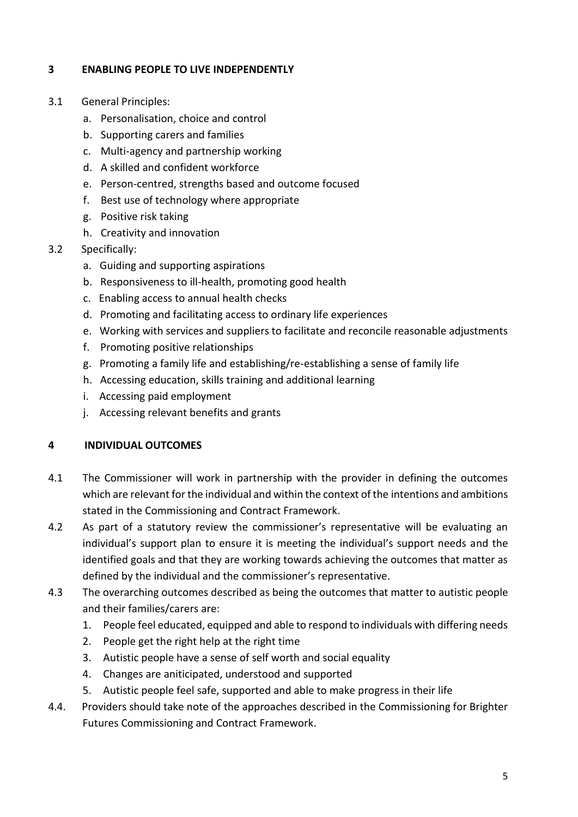# **3 ENABLING PEOPLE TO LIVE INDEPENDENTLY**

- 3.1 General Principles:
	- a. Personalisation, choice and control
	- b. Supporting carers and families
	- c. Multi-agency and partnership working
	- d. A skilled and confident workforce
	- e. Person-centred, strengths based and outcome focused
	- f. Best use of technology where appropriate
	- g. Positive risk taking
	- h. Creativity and innovation
- 3.2 Specifically:
	- a. Guiding and supporting aspirations
	- b. Responsiveness to ill-health, promoting good health
	- c. Enabling access to annual health checks
	- d. Promoting and facilitating access to ordinary life experiences
	- e. Working with services and suppliers to facilitate and reconcile reasonable adjustments
	- f. Promoting positive relationships
	- g. Promoting a family life and establishing/re-establishing a sense of family life
	- h. Accessing education, skills training and additional learning
	- i. Accessing paid employment
	- j. Accessing relevant benefits and grants

# **4 INDIVIDUAL OUTCOMES**

- 4.1 The Commissioner will work in partnership with the provider in defining the outcomes which are relevant for the individual and within the context of the intentions and ambitions stated in the Commissioning and Contract Framework.
- 4.2 As part of a statutory review the commissioner's representative will be evaluating an individual's support plan to ensure it is meeting the individual's support needs and the identified goals and that they are working towards achieving the outcomes that matter as defined by the individual and the commissioner's representative.
- 4.3 The overarching outcomes described as being the outcomes that matter to autistic people and their families/carers are:
	- 1. People feel educated, equipped and able to respond to individuals with differing needs
	- 2. People get the right help at the right time
	- 3. Autistic people have a sense of self worth and social equality
	- 4. Changes are aniticipated, understood and supported
	- 5. Autistic people feel safe, supported and able to make progress in their life
- 4.4. Providers should take note of the approaches described in the Commissioning for Brighter Futures Commissioning and Contract Framework.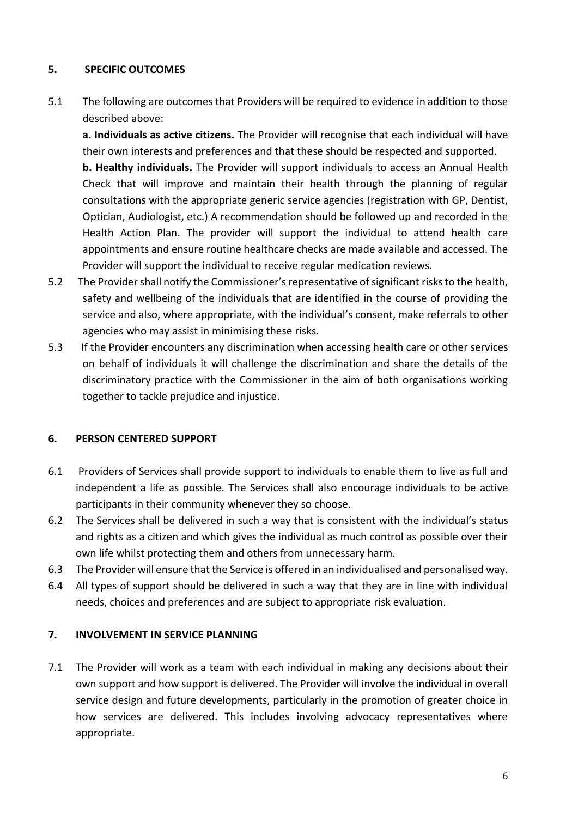# **5. SPECIFIC OUTCOMES**

5.1 The following are outcomes that Providers will be required to evidence in addition to those described above:

**a. Individuals as active citizens.** The Provider will recognise that each individual will have their own interests and preferences and that these should be respected and supported.

**b. Healthy individuals.** The Provider will support individuals to access an Annual Health Check that will improve and maintain their health through the planning of regular consultations with the appropriate generic service agencies (registration with GP, Dentist, Optician, Audiologist, etc.) A recommendation should be followed up and recorded in the Health Action Plan. The provider will support the individual to attend health care appointments and ensure routine healthcare checks are made available and accessed. The Provider will support the individual to receive regular medication reviews.

- 5.2 The Provider shall notify the Commissioner's representative of significant risks to the health, safety and wellbeing of the individuals that are identified in the course of providing the service and also, where appropriate, with the individual's consent, make referrals to other agencies who may assist in minimising these risks.
- 5.3 If the Provider encounters any discrimination when accessing health care or other services on behalf of individuals it will challenge the discrimination and share the details of the discriminatory practice with the Commissioner in the aim of both organisations working together to tackle prejudice and injustice.

# **6. PERSON CENTERED SUPPORT**

- 6.1 Providers of Services shall provide support to individuals to enable them to live as full and independent a life as possible. The Services shall also encourage individuals to be active participants in their community whenever they so choose.
- 6.2 The Services shall be delivered in such a way that is consistent with the individual's status and rights as a citizen and which gives the individual as much control as possible over their own life whilst protecting them and others from unnecessary harm.
- 6.3 The Provider will ensure that the Service is offered in an individualised and personalised way.
- 6.4 All types of support should be delivered in such a way that they are in line with individual needs, choices and preferences and are subject to appropriate risk evaluation.

# **7. INVOLVEMENT IN SERVICE PLANNING**

7.1 The Provider will work as a team with each individual in making any decisions about their own support and how support is delivered. The Provider will involve the individual in overall service design and future developments, particularly in the promotion of greater choice in how services are delivered. This includes involving advocacy representatives where appropriate.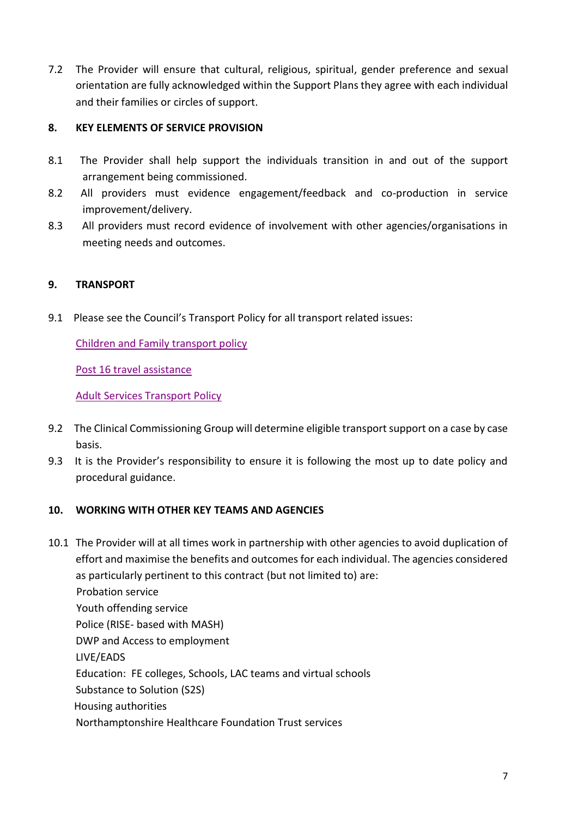7.2 The Provider will ensure that cultural, religious, spiritual, gender preference and sexual orientation are fully acknowledged within the Support Plans they agree with each individual and their families or circles of support.

# **8. KEY ELEMENTS OF SERVICE PROVISION**

- 8.1 The Provider shall help support the individuals transition in and out of the support arrangement being commissioned.
- 8.2 All providers must evidence engagement/feedback and co-production in service improvement/delivery.
- 8.3 All providers must record evidence of involvement with other agencies/organisations in meeting needs and outcomes.

#### **9. TRANSPORT**

9.1 Please see the Council's Transport Policy for all transport related issues:

[Children and Family transport policy](https://www.northamptonshire.gov.uk/councilservices/children-families-education/schools-and-education/school-transport/Pages/home-transport-eligibility.aspx) 

[Post 16 travel assistance](https://www.northamptonshire.gov.uk/councilservices/children-families-education/schools-and-education/school-transport/Pages/post-16-travel-assistance.aspx) 

[Adult Services Transport Policy](https://www.northamptonshire.gov.uk/councilservices/adult-social-care/policies/PublishingImages/Pages/procedures/NASS%20Transport%20Policy%20October%2019%20V2.0.pdf)

- 9.2 The Clinical Commissioning Group will determine eligible transport support on a case by case basis.
- 9.3 It is the Provider's responsibility to ensure it is following the most up to date policy and procedural guidance.

#### **10. WORKING WITH OTHER KEY TEAMS AND AGENCIES**

10.1 The Provider will at all times work in partnership with other agencies to avoid duplication of effort and maximise the benefits and outcomes for each individual. The agencies considered as particularly pertinent to this contract (but not limited to) are: Probation service Youth offending service Police (RISE- based with MASH) DWP and Access to employment LIVE/EADS Education: FE colleges, Schools, LAC teams and virtual schools Substance to Solution (S2S) Housing authorities Northamptonshire Healthcare Foundation Trust services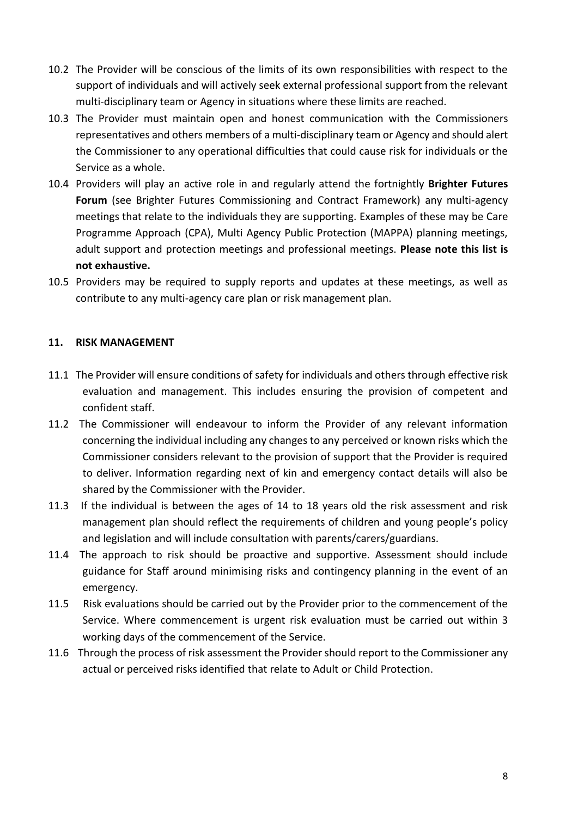- 10.2 The Provider will be conscious of the limits of its own responsibilities with respect to the support of individuals and will actively seek external professional support from the relevant multi-disciplinary team or Agency in situations where these limits are reached.
- 10.3 The Provider must maintain open and honest communication with the Commissioners representatives and others members of a multi-disciplinary team or Agency and should alert the Commissioner to any operational difficulties that could cause risk for individuals or the Service as a whole.
- 10.4 Providers will play an active role in and regularly attend the fortnightly **Brighter Futures Forum** (see Brighter Futures Commissioning and Contract Framework) any multi-agency meetings that relate to the individuals they are supporting. Examples of these may be Care Programme Approach (CPA), Multi Agency Public Protection (MAPPA) planning meetings, adult support and protection meetings and professional meetings. **Please note this list is not exhaustive.**
- 10.5 Providers may be required to supply reports and updates at these meetings, as well as contribute to any multi-agency care plan or risk management plan.

#### **11. RISK MANAGEMENT**

- 11.1 The Provider will ensure conditions of safety for individuals and others through effective risk evaluation and management. This includes ensuring the provision of competent and confident staff.
- 11.2 The Commissioner will endeavour to inform the Provider of any relevant information concerning the individual including any changes to any perceived or known risks which the Commissioner considers relevant to the provision of support that the Provider is required to deliver. Information regarding next of kin and emergency contact details will also be shared by the Commissioner with the Provider.
- 11.3 If the individual is between the ages of 14 to 18 years old the risk assessment and risk management plan should reflect the requirements of children and young people's policy and legislation and will include consultation with parents/carers/guardians.
- 11.4 The approach to risk should be proactive and supportive. Assessment should include guidance for Staff around minimising risks and contingency planning in the event of an emergency.
- 11.5 Risk evaluations should be carried out by the Provider prior to the commencement of the Service. Where commencement is urgent risk evaluation must be carried out within 3 working days of the commencement of the Service.
- 11.6 Through the process of risk assessment the Provider should report to the Commissioner any actual or perceived risks identified that relate to Adult or Child Protection.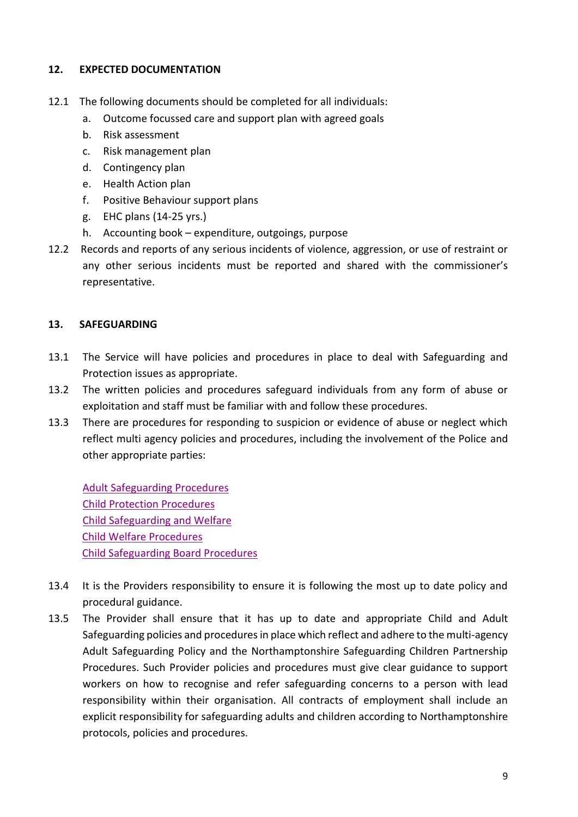# **12. EXPECTED DOCUMENTATION**

- 12.1 The following documents should be completed for all individuals:
	- a. Outcome focussed care and support plan with agreed goals
	- b. Risk assessment
	- c. Risk management plan
	- d. Contingency plan
	- e. Health Action plan
	- f. Positive Behaviour support plans
	- g. EHC plans (14-25 yrs.)
	- h. Accounting book expenditure, outgoings, purpose
- 12.2 Records and reports of any serious incidents of violence, aggression, or use of restraint or any other serious incidents must be reported and shared with the commissioner's representative.

# **13. SAFEGUARDING**

- 13.1 The Service will have policies and procedures in place to deal with Safeguarding and Protection issues as appropriate.
- 13.2 The written policies and procedures safeguard individuals from any form of abuse or exploitation and staff must be familiar with and follow these procedures.
- 13.3 There are procedures for responding to suspicion or evidence of abuse or neglect which reflect multi agency policies and procedures, including the involvement of the Police and other appropriate parties:

 [Adult Safeguarding Procedures](https://www.northamptonshire.gov.uk/councilservices/adult-social-care/safeguarding) [Child Protection Procedures](https://www.nctrust.co.uk/help-and-protection-for-children) [Child Safeguarding and Welfare](https://www.northamptonshire.gov.uk/councilservices/children-families-education/schools-and-education/information-for-school-staff/pupil-support-and-inclusion/Pages/child-safeguarding-and-welfare-in-schools.aspx) [Child Welfare Procedures](https://northamptonshirechildcare.proceduresonline.com/) [Child Safeguarding Board Procedures](http://northamptonshirescb.proceduresonline.com/)

- 13.4 It is the Providers responsibility to ensure it is following the most up to date policy and procedural guidance.
- 13.5 The Provider shall ensure that it has up to date and appropriate Child and Adult Safeguarding policies and procedures in place which reflect and adhere to the multi-agency Adult Safeguarding Policy and the Northamptonshire Safeguarding Children Partnership Procedures. Such Provider policies and procedures must give clear guidance to support workers on how to recognise and refer safeguarding concerns to a person with lead responsibility within their organisation. All contracts of employment shall include an explicit responsibility for safeguarding adults and children according to Northamptonshire protocols, policies and procedures.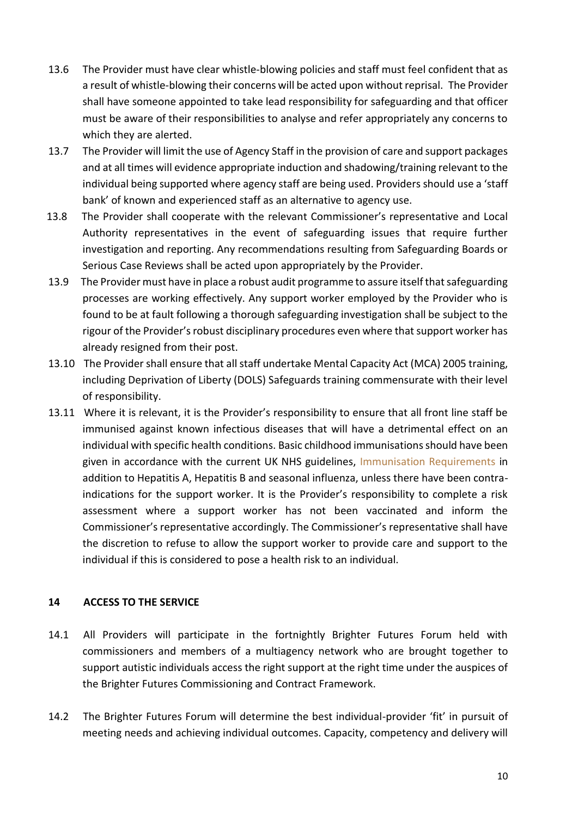- 13.6 The Provider must have clear whistle-blowing policies and staff must feel confident that as a result of whistle-blowing their concerns will be acted upon without reprisal. The Provider shall have someone appointed to take lead responsibility for safeguarding and that officer must be aware of their responsibilities to analyse and refer appropriately any concerns to which they are alerted.
- 13.7 The Provider will limit the use of Agency Staff in the provision of care and support packages and at all times will evidence appropriate induction and shadowing/training relevant to the individual being supported where agency staff are being used. Providers should use a 'staff bank' of known and experienced staff as an alternative to agency use.
- 13.8 The Provider shall cooperate with the relevant Commissioner's representative and Local Authority representatives in the event of safeguarding issues that require further investigation and reporting. Any recommendations resulting from Safeguarding Boards or Serious Case Reviews shall be acted upon appropriately by the Provider.
- 13.9 The Provider must have in place a robust audit programme to assure itself that safeguarding processes are working effectively. Any support worker employed by the Provider who is found to be at fault following a thorough safeguarding investigation shall be subject to the rigour of the Provider's robust disciplinary procedures even where that support worker has already resigned from their post.
- 13.10 The Provider shall ensure that all staff undertake Mental Capacity Act (MCA) 2005 training, including Deprivation of Liberty (DOLS) Safeguards training commensurate with their level of responsibility.
- 13.11 Where it is relevant, it is the Provider's responsibility to ensure that all front line staff be immunised against known infectious diseases that will have a detrimental effect on an individual with specific health conditions. Basic childhood immunisations should have been given in accordance with the current UK NHS guidelines, [Immunisation Requirements](http://www.patient.co.uk/doctor/immunisation-schedule-uk) in addition to Hepatitis A, Hepatitis B and seasonal influenza, unless there have been contraindications for the support worker. It is the Provider's responsibility to complete a risk assessment where a support worker has not been vaccinated and inform the Commissioner's representative accordingly. The Commissioner's representative shall have the discretion to refuse to allow the support worker to provide care and support to the individual if this is considered to pose a health risk to an individual.

# **14 ACCESS TO THE SERVICE**

- 14.1 All Providers will participate in the fortnightly Brighter Futures Forum held with commissioners and members of a multiagency network who are brought together to support autistic individuals access the right support at the right time under the auspices of the Brighter Futures Commissioning and Contract Framework.
- 14.2 The Brighter Futures Forum will determine the best individual-provider 'fit' in pursuit of meeting needs and achieving individual outcomes. Capacity, competency and delivery will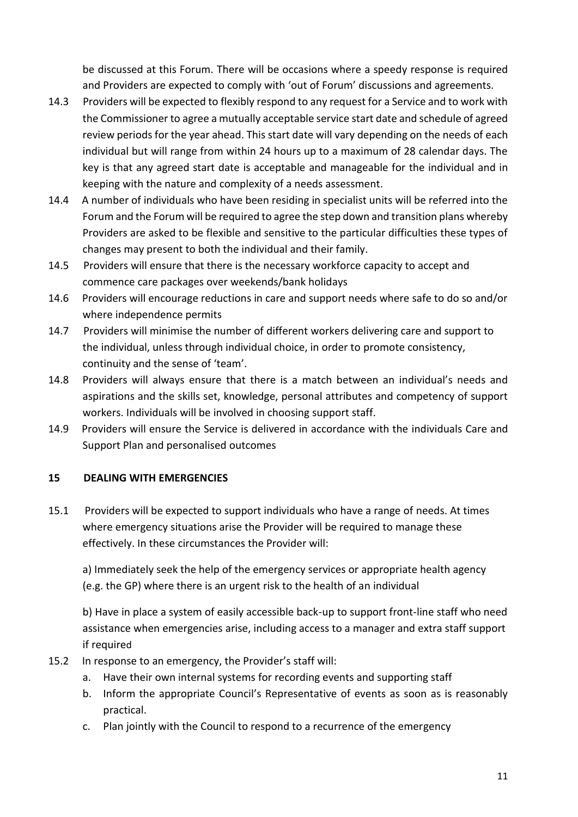be discussed at this Forum. There will be occasions where a speedy response is required and Providers are expected to comply with 'out of Forum' discussions and agreements.

- 14.3 Providers will be expected to flexibly respond to any request for a Service and to work with the Commissioner to agree a mutually acceptable service start date and schedule of agreed review periods for the year ahead. This start date will vary depending on the needs of each individual but will range from within 24 hours up to a maximum of 28 calendar days. The key is that any agreed start date is acceptable and manageable for the individual and in keeping with the nature and complexity of a needs assessment.
- 14.4 A number of individuals who have been residing in specialist units will be referred into the Forum and the Forum will be required to agree the step down and transition plans whereby Providers are asked to be flexible and sensitive to the particular difficulties these types of changes may present to both the individual and their family.
- 14.5 Providers will ensure that there is the necessary workforce capacity to accept and commence care packages over weekends/bank holidays
- 14.6 Providers will encourage reductions in care and support needs where safe to do so and/or where independence permits
- 14.7 Providers will minimise the number of different workers delivering care and support to the individual, unless through individual choice, in order to promote consistency, continuity and the sense of 'team'.
- 14.8 Providers will always ensure that there is a match between an individual's needs and aspirations and the skills set, knowledge, personal attributes and competency of support workers. Individuals will be involved in choosing support staff.
- 14.9 Providers will ensure the Service is delivered in accordance with the individuals Care and Support Plan and personalised outcomes

# **15 DEALING WITH EMERGENCIES**

15.1 Providers will be expected to support individuals who have a range of needs. At times where emergency situations arise the Provider will be required to manage these effectively. In these circumstances the Provider will:

a) Immediately seek the help of the emergency services or appropriate health agency (e.g. the GP) where there is an urgent risk to the health of an individual

b) Have in place a system of easily accessible back-up to support front-line staff who need assistance when emergencies arise, including access to a manager and extra staff support if required

- 15.2 In response to an emergency, the Provider's staff will:
	- a. Have their own internal systems for recording events and supporting staff
	- b. Inform the appropriate Council's Representative of events as soon as is reasonably practical.
	- c. Plan jointly with the Council to respond to a recurrence of the emergency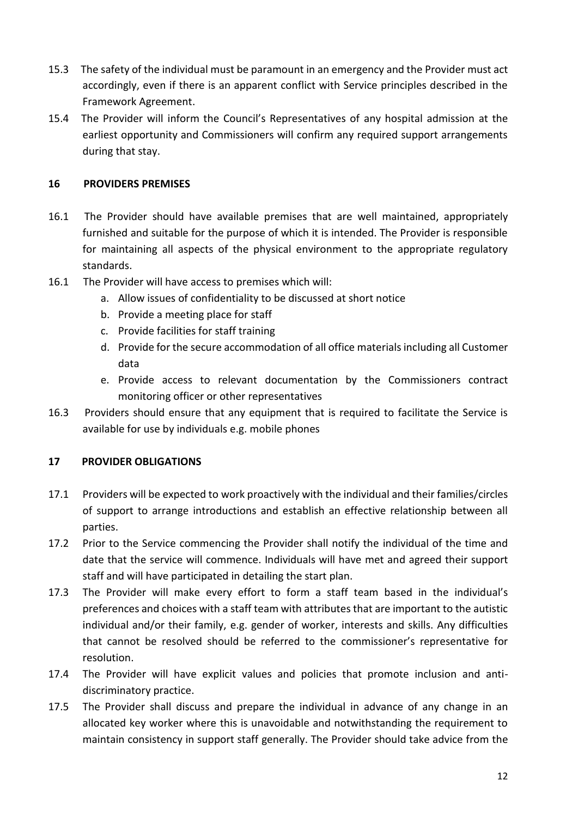- 15.3 The safety of the individual must be paramount in an emergency and the Provider must act accordingly, even if there is an apparent conflict with Service principles described in the Framework Agreement.
- 15.4 The Provider will inform the Council's Representatives of any hospital admission at the earliest opportunity and Commissioners will confirm any required support arrangements during that stay.

# **16 PROVIDERS PREMISES**

- 16.1 The Provider should have available premises that are well maintained, appropriately furnished and suitable for the purpose of which it is intended. The Provider is responsible for maintaining all aspects of the physical environment to the appropriate regulatory standards.
- 16.1 The Provider will have access to premises which will:
	- a. Allow issues of confidentiality to be discussed at short notice
	- b. Provide a meeting place for staff
	- c. Provide facilities for staff training
	- d. Provide for the secure accommodation of all office materials including all Customer data
	- e. Provide access to relevant documentation by the Commissioners contract monitoring officer or other representatives
- 16.3 Providers should ensure that any equipment that is required to facilitate the Service is available for use by individuals e.g. mobile phones

# **17 PROVIDER OBLIGATIONS**

- 17.1 Providers will be expected to work proactively with the individual and their families/circles of support to arrange introductions and establish an effective relationship between all parties.
- 17.2 Prior to the Service commencing the Provider shall notify the individual of the time and date that the service will commence. Individuals will have met and agreed their support staff and will have participated in detailing the start plan.
- 17.3 The Provider will make every effort to form a staff team based in the individual's preferences and choices with a staff team with attributes that are important to the autistic individual and/or their family, e.g. gender of worker, interests and skills. Any difficulties that cannot be resolved should be referred to the commissioner's representative for resolution.
- 17.4 The Provider will have explicit values and policies that promote inclusion and antidiscriminatory practice.
- 17.5 The Provider shall discuss and prepare the individual in advance of any change in an allocated key worker where this is unavoidable and notwithstanding the requirement to maintain consistency in support staff generally. The Provider should take advice from the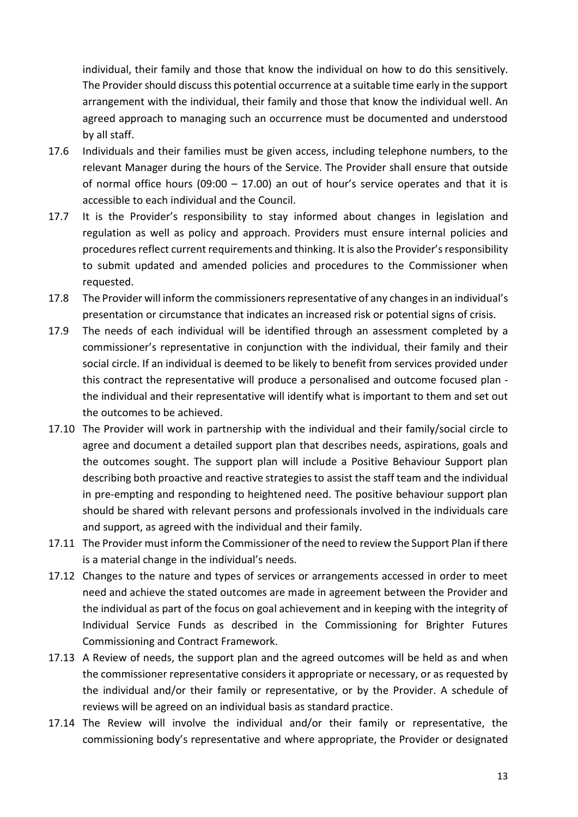individual, their family and those that know the individual on how to do this sensitively. The Provider should discuss this potential occurrence at a suitable time early in the support arrangement with the individual, their family and those that know the individual well. An agreed approach to managing such an occurrence must be documented and understood by all staff.

- 17.6 Individuals and their families must be given access, including telephone numbers, to the relevant Manager during the hours of the Service. The Provider shall ensure that outside of normal office hours (09:00  $-$  17.00) an out of hour's service operates and that it is accessible to each individual and the Council.
- 17.7 It is the Provider's responsibility to stay informed about changes in legislation and regulation as well as policy and approach. Providers must ensure internal policies and procedures reflect current requirements and thinking. It is also the Provider's responsibility to submit updated and amended policies and procedures to the Commissioner when requested.
- 17.8 The Provider will inform the commissioners representative of any changes in an individual's presentation or circumstance that indicates an increased risk or potential signs of crisis.
- 17.9 The needs of each individual will be identified through an assessment completed by a commissioner's representative in conjunction with the individual, their family and their social circle. If an individual is deemed to be likely to benefit from services provided under this contract the representative will produce a personalised and outcome focused plan the individual and their representative will identify what is important to them and set out the outcomes to be achieved.
- 17.10 The Provider will work in partnership with the individual and their family/social circle to agree and document a detailed support plan that describes needs, aspirations, goals and the outcomes sought. The support plan will include a Positive Behaviour Support plan describing both proactive and reactive strategies to assist the staff team and the individual in pre-empting and responding to heightened need. The positive behaviour support plan should be shared with relevant persons and professionals involved in the individuals care and support, as agreed with the individual and their family.
- 17.11 The Provider must inform the Commissioner of the need to review the Support Plan if there is a material change in the individual's needs.
- 17.12 Changes to the nature and types of services or arrangements accessed in order to meet need and achieve the stated outcomes are made in agreement between the Provider and the individual as part of the focus on goal achievement and in keeping with the integrity of Individual Service Funds as described in the Commissioning for Brighter Futures Commissioning and Contract Framework.
- 17.13 A Review of needs, the support plan and the agreed outcomes will be held as and when the commissioner representative considers it appropriate or necessary, or as requested by the individual and/or their family or representative, or by the Provider. A schedule of reviews will be agreed on an individual basis as standard practice.
- 17.14 The Review will involve the individual and/or their family or representative, the commissioning body's representative and where appropriate, the Provider or designated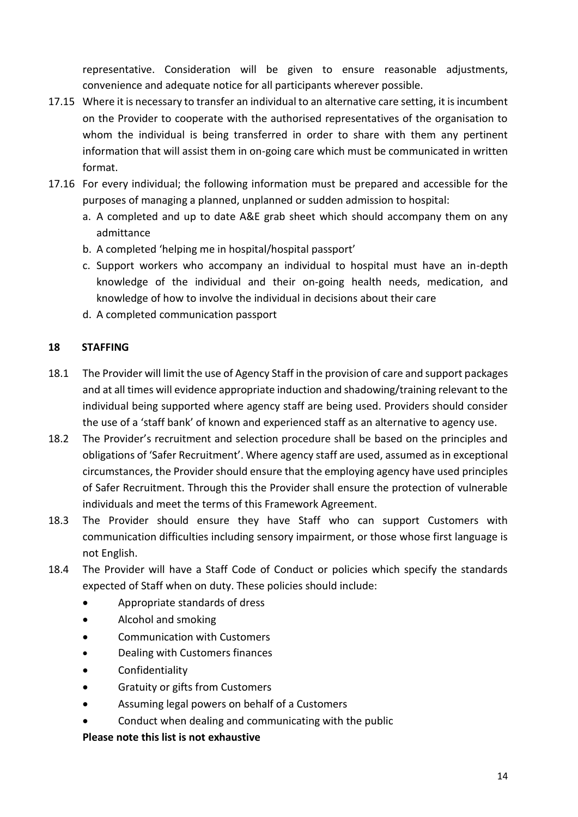representative. Consideration will be given to ensure reasonable adjustments, convenience and adequate notice for all participants wherever possible.

- 17.15 Where it is necessary to transfer an individual to an alternative care setting, it is incumbent on the Provider to cooperate with the authorised representatives of the organisation to whom the individual is being transferred in order to share with them any pertinent information that will assist them in on-going care which must be communicated in written format.
- 17.16 For every individual; the following information must be prepared and accessible for the purposes of managing a planned, unplanned or sudden admission to hospital:
	- a. A completed and up to date A&E grab sheet which should accompany them on any admittance
	- b. A completed 'helping me in hospital/hospital passport'
	- c. Support workers who accompany an individual to hospital must have an in-depth knowledge of the individual and their on-going health needs, medication, and knowledge of how to involve the individual in decisions about their care
	- d. A completed communication passport

# **18 STAFFING**

- 18.1 The Provider will limit the use of Agency Staff in the provision of care and support packages and at all times will evidence appropriate induction and shadowing/training relevant to the individual being supported where agency staff are being used. Providers should consider the use of a 'staff bank' of known and experienced staff as an alternative to agency use.
- 18.2 The Provider's recruitment and selection procedure shall be based on the principles and obligations of 'Safer Recruitment'. Where agency staff are used, assumed as in exceptional circumstances, the Provider should ensure that the employing agency have used principles of Safer Recruitment. Through this the Provider shall ensure the protection of vulnerable individuals and meet the terms of this Framework Agreement.
- 18.3 The Provider should ensure they have Staff who can support Customers with communication difficulties including sensory impairment, or those whose first language is not English.
- 18.4 The Provider will have a Staff Code of Conduct or policies which specify the standards expected of Staff when on duty. These policies should include:
	- Appropriate standards of dress
	- Alcohol and smoking
	- Communication with Customers
	- Dealing with Customers finances
	- Confidentiality
	- Gratuity or gifts from Customers
	- Assuming legal powers on behalf of a Customers
	- Conduct when dealing and communicating with the public

# **Please note this list is not exhaustive**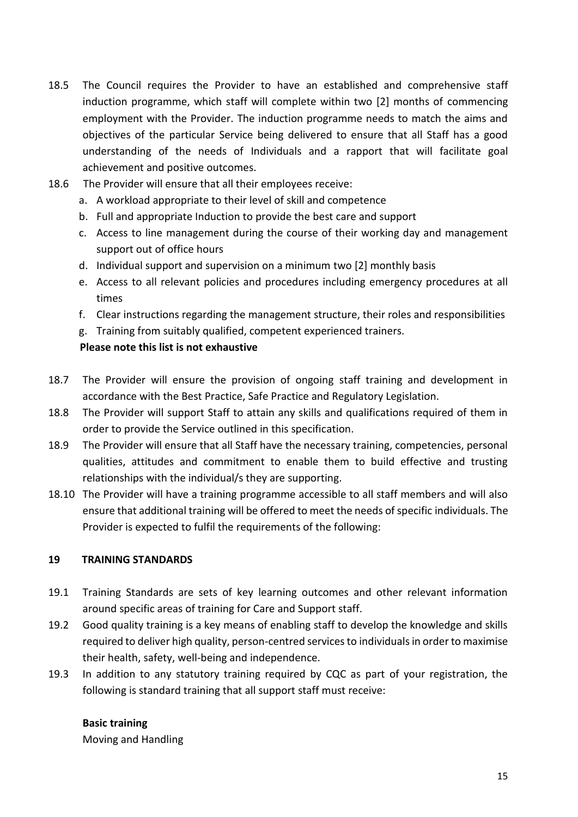- 18.5 The Council requires the Provider to have an established and comprehensive staff induction programme, which staff will complete within two [2] months of commencing employment with the Provider. The induction programme needs to match the aims and objectives of the particular Service being delivered to ensure that all Staff has a good understanding of the needs of Individuals and a rapport that will facilitate goal achievement and positive outcomes.
- 18.6 The Provider will ensure that all their employees receive:
	- a. A workload appropriate to their level of skill and competence
	- b. Full and appropriate Induction to provide the best care and support
	- c. Access to line management during the course of their working day and management support out of office hours
	- d. Individual support and supervision on a minimum two [2] monthly basis
	- e. Access to all relevant policies and procedures including emergency procedures at all times
	- f. Clear instructions regarding the management structure, their roles and responsibilities
	- g. Training from suitably qualified, competent experienced trainers.

#### **Please note this list is not exhaustive**

- 18.7 The Provider will ensure the provision of ongoing staff training and development in accordance with the Best Practice, Safe Practice and Regulatory Legislation.
- 18.8 The Provider will support Staff to attain any skills and qualifications required of them in order to provide the Service outlined in this specification.
- 18.9 The Provider will ensure that all Staff have the necessary training, competencies, personal qualities, attitudes and commitment to enable them to build effective and trusting relationships with the individual/s they are supporting.
- 18.10 The Provider will have a training programme accessible to all staff members and will also ensure that additional training will be offered to meet the needs of specific individuals. The Provider is expected to fulfil the requirements of the following:

#### **19 TRAINING STANDARDS**

- 19.1 Training Standards are sets of key learning outcomes and other relevant information around specific areas of training for Care and Support staff.
- 19.2 Good quality training is a key means of enabling staff to develop the knowledge and skills required to deliver high quality, person-centred services to individuals in order to maximise their health, safety, well-being and independence.
- 19.3 In addition to any statutory training required by CQC as part of your registration, the following is standard training that all support staff must receive:

#### **Basic training**

Moving and Handling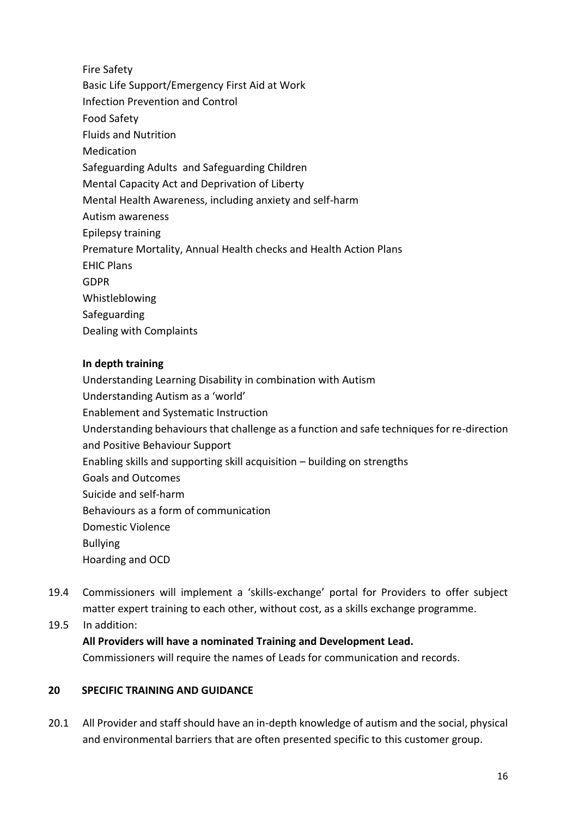Fire Safety Basic Life Support/Emergency First Aid at Work Infection Prevention and Control Food Safety Fluids and Nutrition Medication Safeguarding Adults and Safeguarding Children Mental Capacity Act and Deprivation of Liberty Mental Health Awareness, including anxiety and self-harm Autism awareness Epilepsy training Premature Mortality, Annual Health checks and Health Action Plans EHIC Plans GDPR Whistleblowing Safeguarding Dealing with Complaints

# **In depth training**

Understanding Learning Disability in combination with Autism Understanding Autism as a 'world' Enablement and Systematic Instruction Understanding behaviours that challenge as a function and safe techniques for re-direction and Positive Behaviour Support Enabling skills and supporting skill acquisition – building on strengths Goals and Outcomes Suicide and self-harm Behaviours as a form of communication Domestic Violence Bullying Hoarding and OCD

- 19.4 Commissioners will implement a 'skills-exchange' portal for Providers to offer subject matter expert training to each other, without cost, as a skills exchange programme.
- 19.5 In addition:

# **All Providers will have a nominated Training and Development Lead.**

Commissioners will require the names of Leads for communication and records.

# **20 SPECIFIC TRAINING AND GUIDANCE**

20.1 All Provider and staff should have an in-depth knowledge of autism and the social, physical and environmental barriers that are often presented specific to this customer group.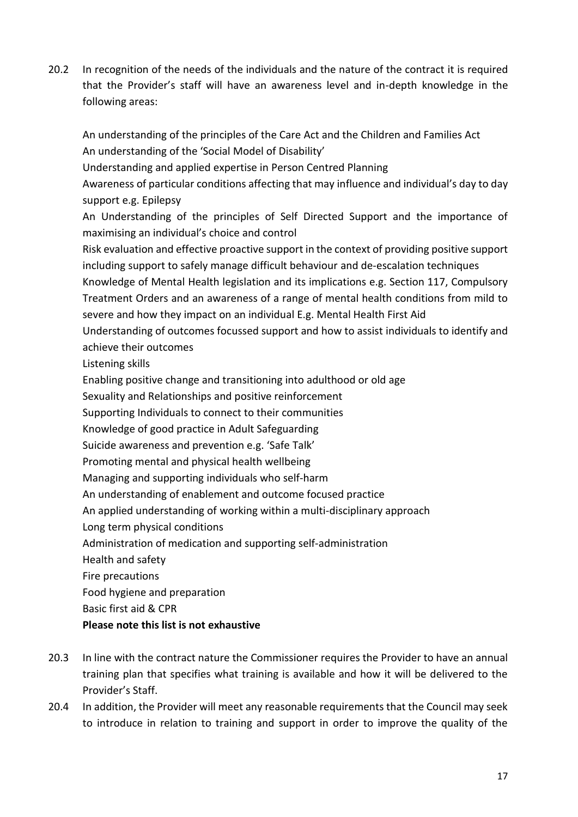20.2 In recognition of the needs of the individuals and the nature of the contract it is required that the Provider's staff will have an awareness level and in-depth knowledge in the following areas:

An understanding of the principles of the Care Act and the Children and Families Act An understanding of the 'Social Model of Disability'

Understanding and applied expertise in Person Centred Planning

Awareness of particular conditions affecting that may influence and individual's day to day support e.g. Epilepsy

An Understanding of the principles of Self Directed Support and the importance of maximising an individual's choice and control

Risk evaluation and effective proactive support in the context of providing positive support including support to safely manage difficult behaviour and de-escalation techniques

Knowledge of Mental Health legislation and its implications e.g. Section 117, Compulsory Treatment Orders and an awareness of a range of mental health conditions from mild to severe and how they impact on an individual E.g. Mental Health First Aid

Understanding of outcomes focussed support and how to assist individuals to identify and achieve their outcomes

Listening skills

Enabling positive change and transitioning into adulthood or old age

Sexuality and Relationships and positive reinforcement

Supporting Individuals to connect to their communities

Knowledge of good practice in Adult Safeguarding

Suicide awareness and prevention e.g. 'Safe Talk'

Promoting mental and physical health wellbeing

Managing and supporting individuals who self-harm

An understanding of enablement and outcome focused practice

An applied understanding of working within a multi-disciplinary approach

Long term physical conditions

Administration of medication and supporting self-administration

Health and safety

Fire precautions

Food hygiene and preparation

Basic first aid & CPR

# **Please note this list is not exhaustive**

- 20.3 In line with the contract nature the Commissioner requires the Provider to have an annual training plan that specifies what training is available and how it will be delivered to the Provider's Staff.
- 20.4 In addition, the Provider will meet any reasonable requirements that the Council may seek to introduce in relation to training and support in order to improve the quality of the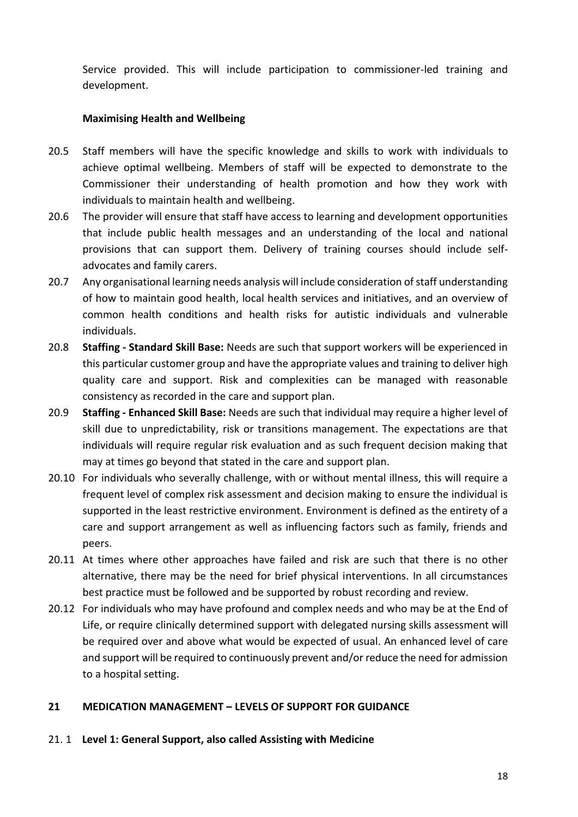Service provided. This will include participation to commissioner-led training and development.

# **Maximising Health and Wellbeing**

- 20.5 Staff members will have the specific knowledge and skills to work with individuals to achieve optimal wellbeing. Members of staff will be expected to demonstrate to the Commissioner their understanding of health promotion and how they work with individuals to maintain health and wellbeing.
- 20.6 The provider will ensure that staff have access to learning and development opportunities that include public health messages and an understanding of the local and national provisions that can support them. Delivery of training courses should include selfadvocates and family carers.
- 20.7 Any organisational learning needs analysis will include consideration of staff understanding of how to maintain good health, local health services and initiatives, and an overview of common health conditions and health risks for autistic individuals and vulnerable individuals.
- 20.8 **Staffing - Standard Skill Base:** Needs are such that support workers will be experienced in this particular customer group and have the appropriate values and training to deliver high quality care and support. Risk and complexities can be managed with reasonable consistency as recorded in the care and support plan.
- 20.9 **Staffing - Enhanced Skill Base:** Needs are such that individual may require a higher level of skill due to unpredictability, risk or transitions management. The expectations are that individuals will require regular risk evaluation and as such frequent decision making that may at times go beyond that stated in the care and support plan.
- 20.10 For individuals who severally challenge, with or without mental illness, this will require a frequent level of complex risk assessment and decision making to ensure the individual is supported in the least restrictive environment. Environment is defined as the entirety of a care and support arrangement as well as influencing factors such as family, friends and peers.
- 20.11 At times where other approaches have failed and risk are such that there is no other alternative, there may be the need for brief physical interventions. In all circumstances best practice must be followed and be supported by robust recording and review.
- 20.12 For individuals who may have profound and complex needs and who may be at the End of Life, or require clinically determined support with delegated nursing skills assessment will be required over and above what would be expected of usual. An enhanced level of care and support will be required to continuously prevent and/or reduce the need for admission to a hospital setting.

# **21 MEDICATION MANAGEMENT – LEVELS OF SUPPORT FOR GUIDANCE**

21. 1 **Level 1: General Support, also called Assisting with Medicine**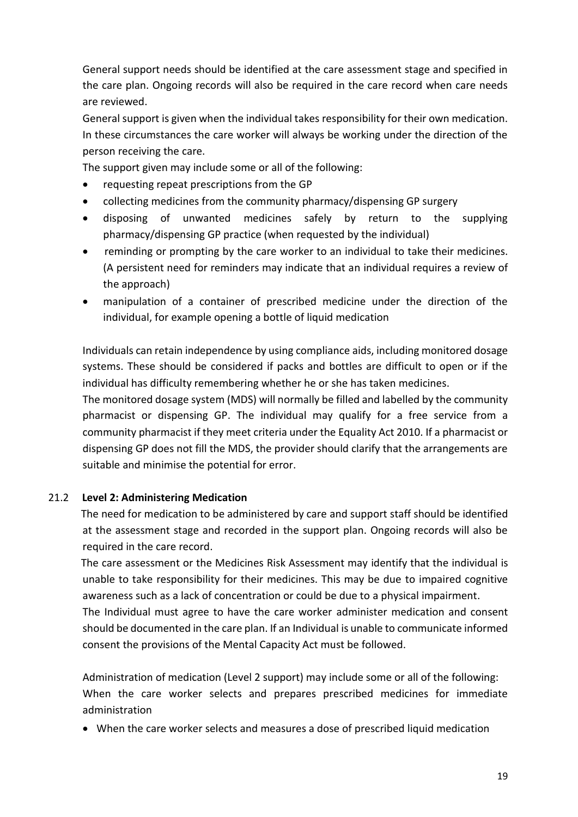General support needs should be identified at the care assessment stage and specified in the care plan. Ongoing records will also be required in the care record when care needs are reviewed.

General support is given when the individual takes responsibility for their own medication. In these circumstances the care worker will always be working under the direction of the person receiving the care.

The support given may include some or all of the following:

- requesting repeat prescriptions from the GP
- collecting medicines from the community pharmacy/dispensing GP surgery
- disposing of unwanted medicines safely by return to the supplying pharmacy/dispensing GP practice (when requested by the individual)
- reminding or prompting by the care worker to an individual to take their medicines. (A persistent need for reminders may indicate that an individual requires a review of the approach)
- manipulation of a container of prescribed medicine under the direction of the individual, for example opening a bottle of liquid medication

Individuals can retain independence by using compliance aids, including monitored dosage systems. These should be considered if packs and bottles are difficult to open or if the individual has difficulty remembering whether he or she has taken medicines.

The monitored dosage system (MDS) will normally be filled and labelled by the community pharmacist or dispensing GP. The individual may qualify for a free service from a community pharmacist if they meet criteria under the Equality Act 2010. If a pharmacist or dispensing GP does not fill the MDS, the provider should clarify that the arrangements are suitable and minimise the potential for error.

# 21.2 **Level 2: Administering Medication**

 The need for medication to be administered by care and support staff should be identified at the assessment stage and recorded in the support plan. Ongoing records will also be required in the care record.

 The care assessment or the Medicines Risk Assessment may identify that the individual is unable to take responsibility for their medicines. This may be due to impaired cognitive awareness such as a lack of concentration or could be due to a physical impairment.

The Individual must agree to have the care worker administer medication and consent should be documented in the care plan. If an Individual is unable to communicate informed consent the provisions of the Mental Capacity Act must be followed.

 Administration of medication (Level 2 support) may include some or all of the following: When the care worker selects and prepares prescribed medicines for immediate administration

When the care worker selects and measures a dose of prescribed liquid medication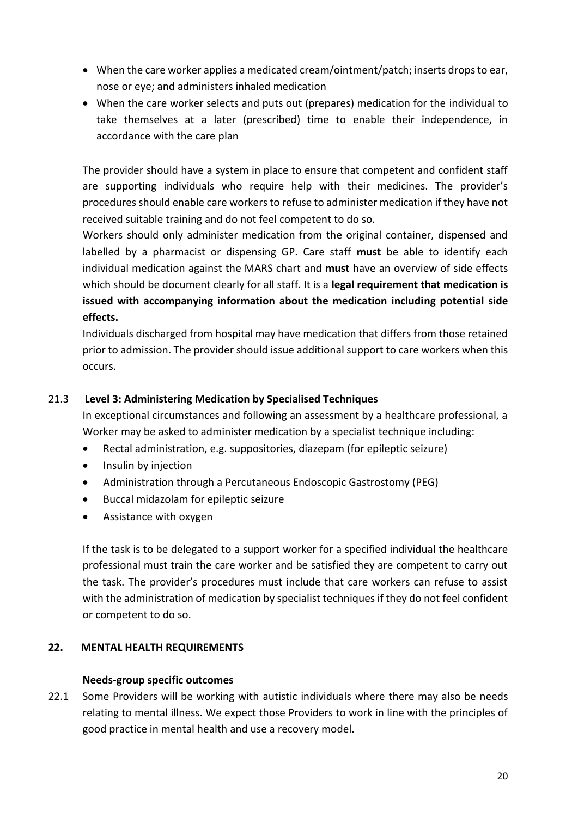- When the care worker applies a medicated cream/ointment/patch; inserts drops to ear, nose or eye; and administers inhaled medication
- When the care worker selects and puts out (prepares) medication for the individual to take themselves at a later (prescribed) time to enable their independence, in accordance with the care plan

The provider should have a system in place to ensure that competent and confident staff are supporting individuals who require help with their medicines. The provider's procedures should enable care workers to refuse to administer medication if they have not received suitable training and do not feel competent to do so.

Workers should only administer medication from the original container, dispensed and labelled by a pharmacist or dispensing GP. Care staff **must** be able to identify each individual medication against the MARS chart and **must** have an overview of side effects which should be document clearly for all staff. It is a **legal requirement that medication is issued with accompanying information about the medication including potential side effects.** 

Individuals discharged from hospital may have medication that differs from those retained prior to admission. The provider should issue additional support to care workers when this occurs.

# 21.3 **Level 3: Administering Medication by Specialised Techniques**

In exceptional circumstances and following an assessment by a healthcare professional, a Worker may be asked to administer medication by a specialist technique including:

- Rectal administration, e.g. suppositories, diazepam (for epileptic seizure)
- Insulin by injection
- Administration through a Percutaneous Endoscopic Gastrostomy (PEG)
- Buccal midazolam for epileptic seizure
- Assistance with oxygen

If the task is to be delegated to a support worker for a specified individual the healthcare professional must train the care worker and be satisfied they are competent to carry out the task. The provider's procedures must include that care workers can refuse to assist with the administration of medication by specialist techniques if they do not feel confident or competent to do so.

# **22. MENTAL HEALTH REQUIREMENTS**

#### **Needs-group specific outcomes**

22.1 Some Providers will be working with autistic individuals where there may also be needs relating to mental illness. We expect those Providers to work in line with the principles of good practice in mental health and use a recovery model.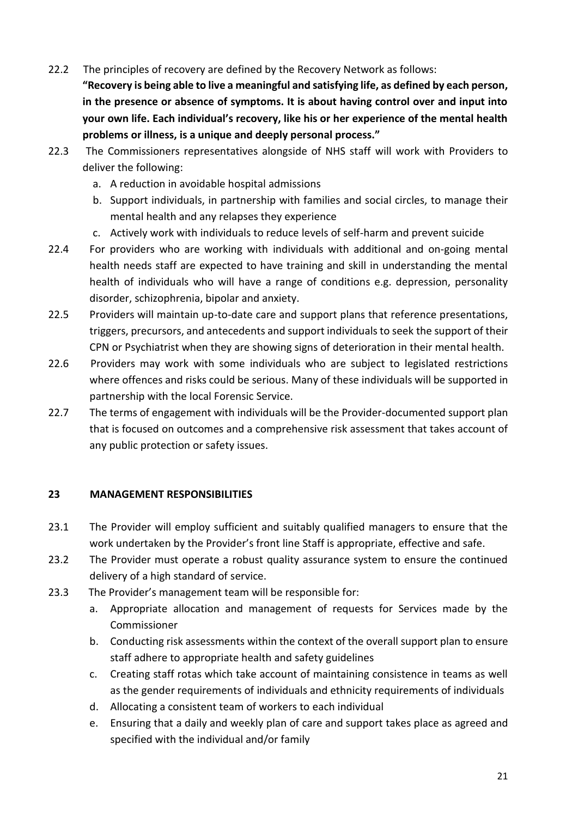22.2 The principles of recovery are defined by the Recovery Network as follows:

**"Recovery is being able to live a meaningful and satisfying life, as defined by each person, in the presence or absence of symptoms. It is about having control over and input into your own life. Each individual's recovery, like his or her experience of the mental health problems or illness, is a unique and deeply personal process."** 

- 22.3 The Commissioners representatives alongside of NHS staff will work with Providers to deliver the following:
	- a. A reduction in avoidable hospital admissions
	- b. Support individuals, in partnership with families and social circles, to manage their mental health and any relapses they experience
	- c. Actively work with individuals to reduce levels of self-harm and prevent suicide
- 22.4 For providers who are working with individuals with additional and on-going mental health needs staff are expected to have training and skill in understanding the mental health of individuals who will have a range of conditions e.g. depression, personality disorder, schizophrenia, bipolar and anxiety.
- 22.5 Providers will maintain up-to-date care and support plans that reference presentations, triggers, precursors, and antecedents and support individuals to seek the support of their CPN or Psychiatrist when they are showing signs of deterioration in their mental health.
- 22.6 Providers may work with some individuals who are subject to legislated restrictions where offences and risks could be serious. Many of these individuals will be supported in partnership with the local Forensic Service.
- 22.7 The terms of engagement with individuals will be the Provider-documented support plan that is focused on outcomes and a comprehensive risk assessment that takes account of any public protection or safety issues.

# **23 MANAGEMENT RESPONSIBILITIES**

- 23.1 The Provider will employ sufficient and suitably qualified managers to ensure that the work undertaken by the Provider's front line Staff is appropriate, effective and safe.
- 23.2 The Provider must operate a robust quality assurance system to ensure the continued delivery of a high standard of service.
- 23.3 The Provider's management team will be responsible for:
	- a. Appropriate allocation and management of requests for Services made by the Commissioner
	- b. Conducting risk assessments within the context of the overall support plan to ensure staff adhere to appropriate health and safety guidelines
	- c. Creating staff rotas which take account of maintaining consistence in teams as well as the gender requirements of individuals and ethnicity requirements of individuals
	- d. Allocating a consistent team of workers to each individual
	- e. Ensuring that a daily and weekly plan of care and support takes place as agreed and specified with the individual and/or family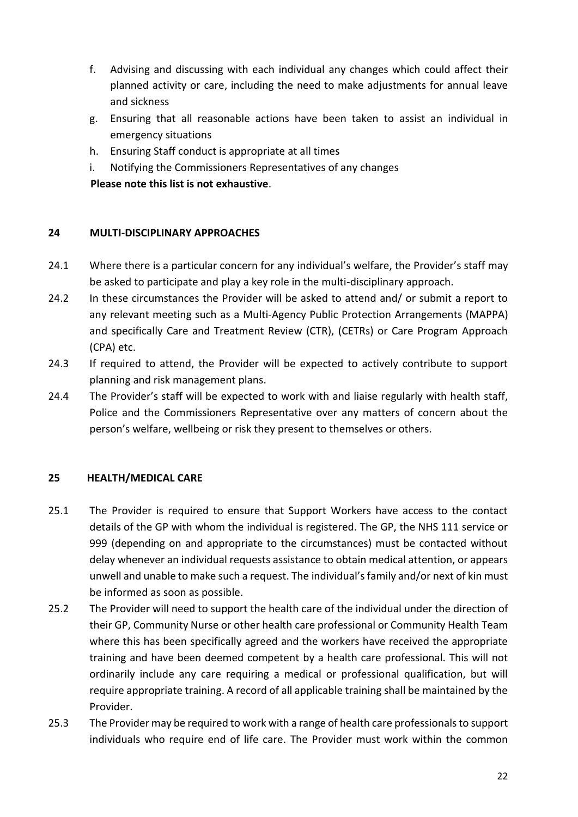- f. Advising and discussing with each individual any changes which could affect their planned activity or care, including the need to make adjustments for annual leave and sickness
- g. Ensuring that all reasonable actions have been taken to assist an individual in emergency situations
- h. Ensuring Staff conduct is appropriate at all times
- i. Notifying the Commissioners Representatives of any changes

 **Please note this list is not exhaustive**.

# **24 MULTI-DISCIPLINARY APPROACHES**

- 24.1 Where there is a particular concern for any individual's welfare, the Provider's staff may be asked to participate and play a key role in the multi-disciplinary approach.
- 24.2 In these circumstances the Provider will be asked to attend and/ or submit a report to any relevant meeting such as a Multi-Agency Public Protection Arrangements (MAPPA) and specifically Care and Treatment Review (CTR), (CETRs) or Care Program Approach (CPA) etc.
- 24.3 If required to attend, the Provider will be expected to actively contribute to support planning and risk management plans.
- 24.4 The Provider's staff will be expected to work with and liaise regularly with health staff, Police and the Commissioners Representative over any matters of concern about the person's welfare, wellbeing or risk they present to themselves or others.

# **25 HEALTH/MEDICAL CARE**

- 25.1 The Provider is required to ensure that Support Workers have access to the contact details of the GP with whom the individual is registered. The GP, the NHS 111 service or 999 (depending on and appropriate to the circumstances) must be contacted without delay whenever an individual requests assistance to obtain medical attention, or appears unwell and unable to make such a request. The individual's family and/or next of kin must be informed as soon as possible.
- 25.2 The Provider will need to support the health care of the individual under the direction of their GP, Community Nurse or other health care professional or Community Health Team where this has been specifically agreed and the workers have received the appropriate training and have been deemed competent by a health care professional. This will not ordinarily include any care requiring a medical or professional qualification, but will require appropriate training. A record of all applicable training shall be maintained by the Provider.
- 25.3 The Provider may be required to work with a range of health care professionals to support individuals who require end of life care. The Provider must work within the common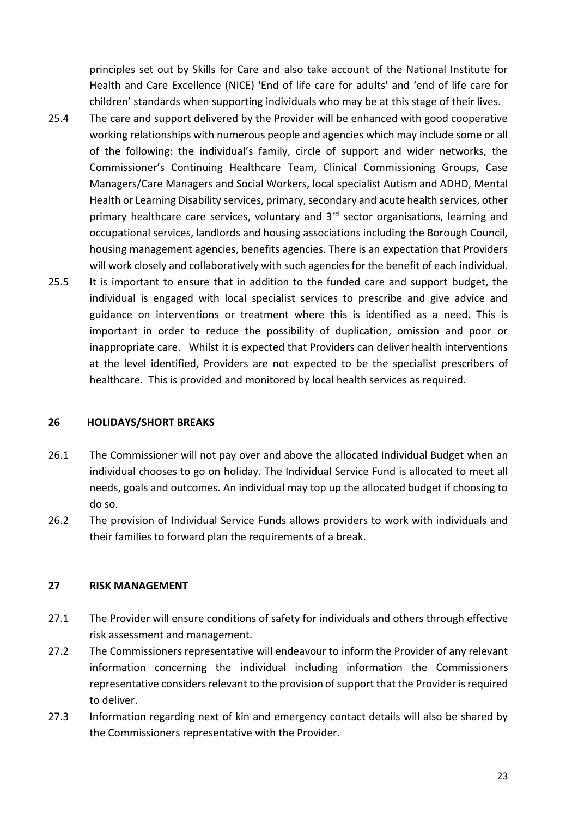principles set out by Skills for Care and also take account of the National Institute for Health and Care Excellence (NICE) 'End of life care for adults' and 'end of life care for children' standards when supporting individuals who may be at this stage of their lives.

- 25.4 The care and support delivered by the Provider will be enhanced with good cooperative working relationships with numerous people and agencies which may include some or all of the following: the individual's family, circle of support and wider networks, the Commissioner's Continuing Healthcare Team, Clinical Commissioning Groups, Case Managers/Care Managers and Social Workers, local specialist Autism and ADHD, Mental Health or Learning Disability services, primary, secondary and acute health services, other primary healthcare care services, voluntary and 3<sup>rd</sup> sector organisations, learning and occupational services, landlords and housing associations including the Borough Council, housing management agencies, benefits agencies. There is an expectation that Providers will work closely and collaboratively with such agencies for the benefit of each individual.
- 25.5 It is important to ensure that in addition to the funded care and support budget, the individual is engaged with local specialist services to prescribe and give advice and guidance on interventions or treatment where this is identified as a need. This is important in order to reduce the possibility of duplication, omission and poor or inappropriate care. Whilst it is expected that Providers can deliver health interventions at the level identified, Providers are not expected to be the specialist prescribers of healthcare. This is provided and monitored by local health services as required.

#### **26 HOLIDAYS/SHORT BREAKS**

- 26.1 The Commissioner will not pay over and above the allocated Individual Budget when an individual chooses to go on holiday. The Individual Service Fund is allocated to meet all needs, goals and outcomes. An individual may top up the allocated budget if choosing to do so.
- 26.2 The provision of Individual Service Funds allows providers to work with individuals and their families to forward plan the requirements of a break.

#### **27 RISK MANAGEMENT**

- 27.1 The Provider will ensure conditions of safety for individuals and others through effective risk assessment and management.
- 27.2 The Commissioners representative will endeavour to inform the Provider of any relevant information concerning the individual including information the Commissioners representative considers relevant to the provision of support that the Provider is required to deliver.
- 27.3 Information regarding next of kin and emergency contact details will also be shared by the Commissioners representative with the Provider.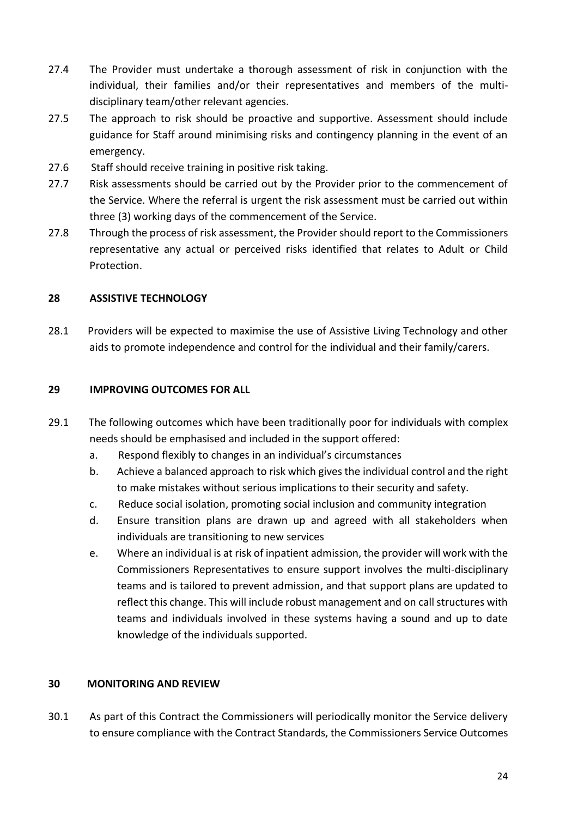- 27.4 The Provider must undertake a thorough assessment of risk in conjunction with the individual, their families and/or their representatives and members of the multidisciplinary team/other relevant agencies.
- 27.5 The approach to risk should be proactive and supportive. Assessment should include guidance for Staff around minimising risks and contingency planning in the event of an emergency.
- 27.6 Staff should receive training in positive risk taking.
- 27.7 Risk assessments should be carried out by the Provider prior to the commencement of the Service. Where the referral is urgent the risk assessment must be carried out within three (3) working days of the commencement of the Service.
- 27.8 Through the process of risk assessment, the Provider should report to the Commissioners representative any actual or perceived risks identified that relates to Adult or Child Protection.

# **28 ASSISTIVE TECHNOLOGY**

28.1 Providers will be expected to maximise the use of Assistive Living Technology and other aids to promote independence and control for the individual and their family/carers.

# **29 IMPROVING OUTCOMES FOR ALL**

- 29.1 The following outcomes which have been traditionally poor for individuals with complex needs should be emphasised and included in the support offered:
	- a. Respond flexibly to changes in an individual's circumstances
	- b. Achieve a balanced approach to risk which gives the individual control and the right to make mistakes without serious implications to their security and safety.
	- c. Reduce social isolation, promoting social inclusion and community integration
	- d. Ensure transition plans are drawn up and agreed with all stakeholders when individuals are transitioning to new services
	- e. Where an individual is at risk of inpatient admission, the provider will work with the Commissioners Representatives to ensure support involves the multi-disciplinary teams and is tailored to prevent admission, and that support plans are updated to reflect this change. This will include robust management and on call structures with teams and individuals involved in these systems having a sound and up to date knowledge of the individuals supported.

# **30 MONITORING AND REVIEW**

30.1 As part of this Contract the Commissioners will periodically monitor the Service delivery to ensure compliance with the Contract Standards, the Commissioners Service Outcomes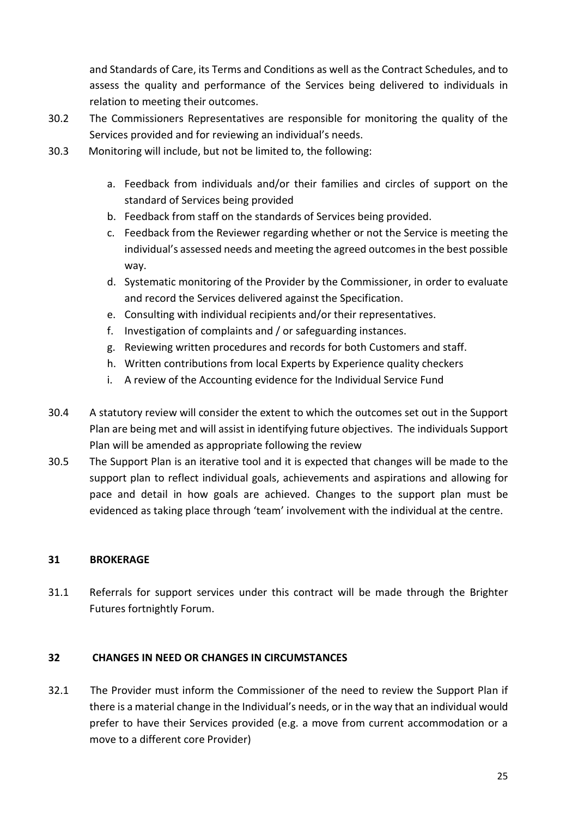and Standards of Care, its Terms and Conditions as well as the Contract Schedules, and to assess the quality and performance of the Services being delivered to individuals in relation to meeting their outcomes.

- 30.2 The Commissioners Representatives are responsible for monitoring the quality of the Services provided and for reviewing an individual's needs.
- 30.3 Monitoring will include, but not be limited to, the following:
	- a. Feedback from individuals and/or their families and circles of support on the standard of Services being provided
	- b. Feedback from staff on the standards of Services being provided.
	- c. Feedback from the Reviewer regarding whether or not the Service is meeting the individual's assessed needs and meeting the agreed outcomes in the best possible way.
	- d. Systematic monitoring of the Provider by the Commissioner, in order to evaluate and record the Services delivered against the Specification.
	- e. Consulting with individual recipients and/or their representatives.
	- f. Investigation of complaints and / or safeguarding instances.
	- g. Reviewing written procedures and records for both Customers and staff.
	- h. Written contributions from local Experts by Experience quality checkers
	- i. A review of the Accounting evidence for the Individual Service Fund
- 30.4 A statutory review will consider the extent to which the outcomes set out in the Support Plan are being met and will assist in identifying future objectives. The individuals Support Plan will be amended as appropriate following the review
- 30.5 The Support Plan is an iterative tool and it is expected that changes will be made to the support plan to reflect individual goals, achievements and aspirations and allowing for pace and detail in how goals are achieved. Changes to the support plan must be evidenced as taking place through 'team' involvement with the individual at the centre.

# **31 BROKERAGE**

31.1 Referrals for support services under this contract will be made through the Brighter Futures fortnightly Forum.

# **32 CHANGES IN NEED OR CHANGES IN CIRCUMSTANCES**

32.1 The Provider must inform the Commissioner of the need to review the Support Plan if there is a material change in the Individual's needs, or in the way that an individual would prefer to have their Services provided (e.g. a move from current accommodation or a move to a different core Provider)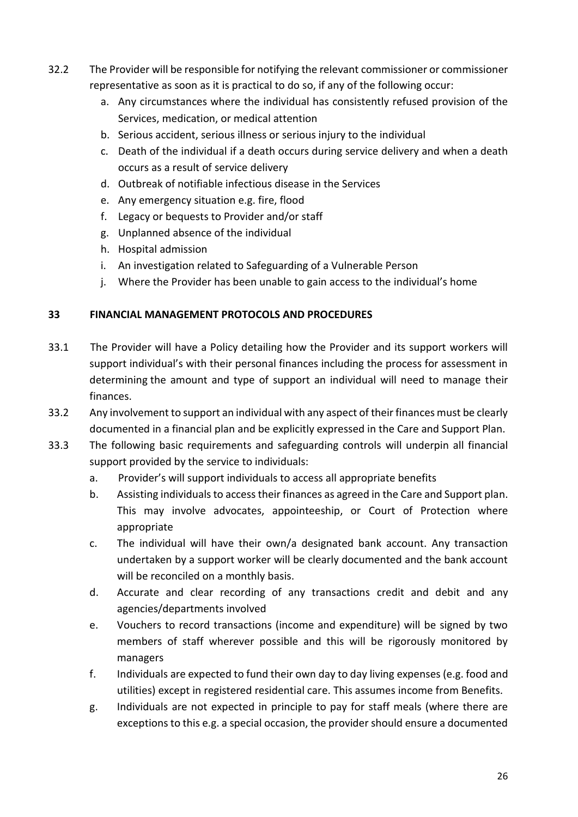- 32.2 The Provider will be responsible for notifying the relevant commissioner or commissioner representative as soon as it is practical to do so, if any of the following occur:
	- a. Any circumstances where the individual has consistently refused provision of the Services, medication, or medical attention
	- b. Serious accident, serious illness or serious injury to the individual
	- c. Death of the individual if a death occurs during service delivery and when a death occurs as a result of service delivery
	- d. Outbreak of notifiable infectious disease in the Services
	- e. Any emergency situation e.g. fire, flood
	- f. Legacy or bequests to Provider and/or staff
	- g. Unplanned absence of the individual
	- h. Hospital admission
	- i. An investigation related to Safeguarding of a Vulnerable Person
	- j. Where the Provider has been unable to gain access to the individual's home

# **33 FINANCIAL MANAGEMENT PROTOCOLS AND PROCEDURES**

- 33.1 The Provider will have a Policy detailing how the Provider and its support workers will support individual's with their personal finances including the process for assessment in determining the amount and type of support an individual will need to manage their finances.
- 33.2 Any involvement to support an individual with any aspect of their finances must be clearly documented in a financial plan and be explicitly expressed in the Care and Support Plan.
- 33.3 The following basic requirements and safeguarding controls will underpin all financial support provided by the service to individuals:
	- a. Provider's will support individuals to access all appropriate benefits
	- b. Assisting individuals to access their finances as agreed in the Care and Support plan. This may involve advocates, appointeeship, or Court of Protection where appropriate
	- c. The individual will have their own/a designated bank account. Any transaction undertaken by a support worker will be clearly documented and the bank account will be reconciled on a monthly basis.
	- d. Accurate and clear recording of any transactions credit and debit and any agencies/departments involved
	- e. Vouchers to record transactions (income and expenditure) will be signed by two members of staff wherever possible and this will be rigorously monitored by managers
	- f. Individuals are expected to fund their own day to day living expenses (e.g. food and utilities) except in registered residential care. This assumes income from Benefits.
	- g. Individuals are not expected in principle to pay for staff meals (where there are exceptions to this e.g. a special occasion, the provider should ensure a documented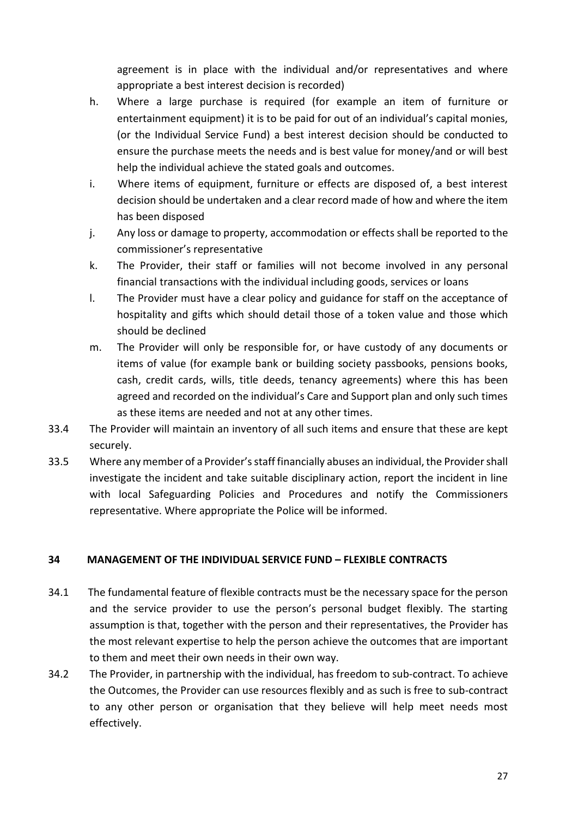agreement is in place with the individual and/or representatives and where appropriate a best interest decision is recorded)

- h. Where a large purchase is required (for example an item of furniture or entertainment equipment) it is to be paid for out of an individual's capital monies, (or the Individual Service Fund) a best interest decision should be conducted to ensure the purchase meets the needs and is best value for money/and or will best help the individual achieve the stated goals and outcomes.
- i. Where items of equipment, furniture or effects are disposed of, a best interest decision should be undertaken and a clear record made of how and where the item has been disposed
- j. Any loss or damage to property, accommodation or effects shall be reported to the commissioner's representative
- k. The Provider, their staff or families will not become involved in any personal financial transactions with the individual including goods, services or loans
- l. The Provider must have a clear policy and guidance for staff on the acceptance of hospitality and gifts which should detail those of a token value and those which should be declined
- m. The Provider will only be responsible for, or have custody of any documents or items of value (for example bank or building society passbooks, pensions books, cash, credit cards, wills, title deeds, tenancy agreements) where this has been agreed and recorded on the individual's Care and Support plan and only such times as these items are needed and not at any other times.
- 33.4 The Provider will maintain an inventory of all such items and ensure that these are kept securely.
- 33.5 Where any member of a Provider's staff financially abuses an individual, the Provider shall investigate the incident and take suitable disciplinary action, report the incident in line with local Safeguarding Policies and Procedures and notify the Commissioners representative. Where appropriate the Police will be informed.

# **34 MANAGEMENT OF THE INDIVIDUAL SERVICE FUND – FLEXIBLE CONTRACTS**

- 34.1The fundamental feature of flexible contracts must be the necessary space for the person and the service provider to use the person's personal budget flexibly. The starting assumption is that, together with the person and their representatives, the Provider has the most relevant expertise to help the person achieve the outcomes that are important to them and meet their own needs in their own way.
- 34.2 The Provider, in partnership with the individual, has freedom to sub-contract. To achieve the Outcomes, the Provider can use resources flexibly and as such is free to sub-contract to any other person or organisation that they believe will help meet needs most effectively.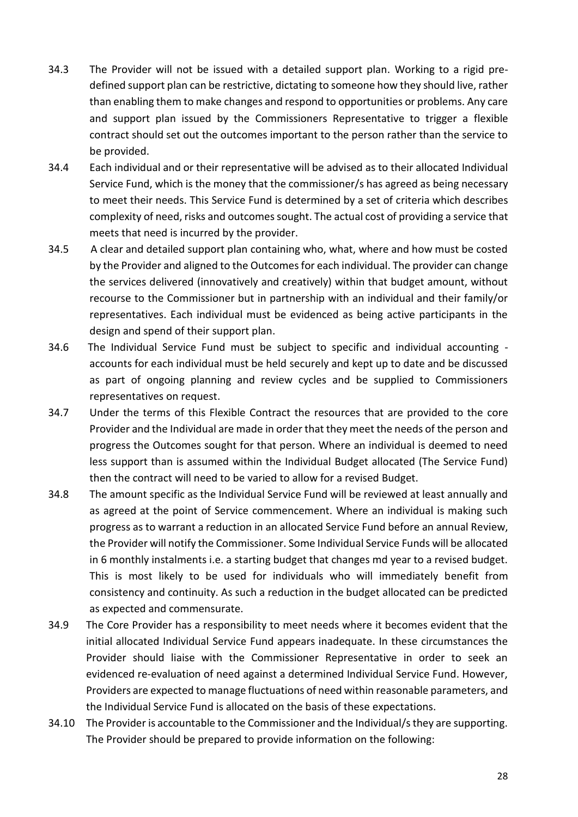- 34.3 The Provider will not be issued with a detailed support plan. Working to a rigid predefined support plan can be restrictive, dictating to someone how they should live, rather than enabling them to make changes and respond to opportunities or problems. Any care and support plan issued by the Commissioners Representative to trigger a flexible contract should set out the outcomes important to the person rather than the service to be provided.
- 34.4 Each individual and or their representative will be advised as to their allocated Individual Service Fund, which is the money that the commissioner/s has agreed as being necessary to meet their needs. This Service Fund is determined by a set of criteria which describes complexity of need, risks and outcomes sought. The actual cost of providing a service that meets that need is incurred by the provider.
- 34.5 A clear and detailed support plan containing who, what, where and how must be costed by the Provider and aligned to the Outcomes for each individual. The provider can change the services delivered (innovatively and creatively) within that budget amount, without recourse to the Commissioner but in partnership with an individual and their family/or representatives. Each individual must be evidenced as being active participants in the design and spend of their support plan.
- 34.6 The Individual Service Fund must be subject to specific and individual accounting accounts for each individual must be held securely and kept up to date and be discussed as part of ongoing planning and review cycles and be supplied to Commissioners representatives on request.
- 34.7 Under the terms of this Flexible Contract the resources that are provided to the core Provider and the Individual are made in order that they meet the needs of the person and progress the Outcomes sought for that person. Where an individual is deemed to need less support than is assumed within the Individual Budget allocated (The Service Fund) then the contract will need to be varied to allow for a revised Budget.
- 34.8 The amount specific as the Individual Service Fund will be reviewed at least annually and as agreed at the point of Service commencement. Where an individual is making such progress as to warrant a reduction in an allocated Service Fund before an annual Review, the Provider will notify the Commissioner. Some Individual Service Funds will be allocated in 6 monthly instalments i.e. a starting budget that changes md year to a revised budget. This is most likely to be used for individuals who will immediately benefit from consistency and continuity. As such a reduction in the budget allocated can be predicted as expected and commensurate.
- 34.9 The Core Provider has a responsibility to meet needs where it becomes evident that the initial allocated Individual Service Fund appears inadequate. In these circumstances the Provider should liaise with the Commissioner Representative in order to seek an evidenced re-evaluation of need against a determined Individual Service Fund. However, Providers are expected to manage fluctuations of need within reasonable parameters, and the Individual Service Fund is allocated on the basis of these expectations.
- 34.10 The Provider is accountable to the Commissioner and the Individual/s they are supporting. The Provider should be prepared to provide information on the following: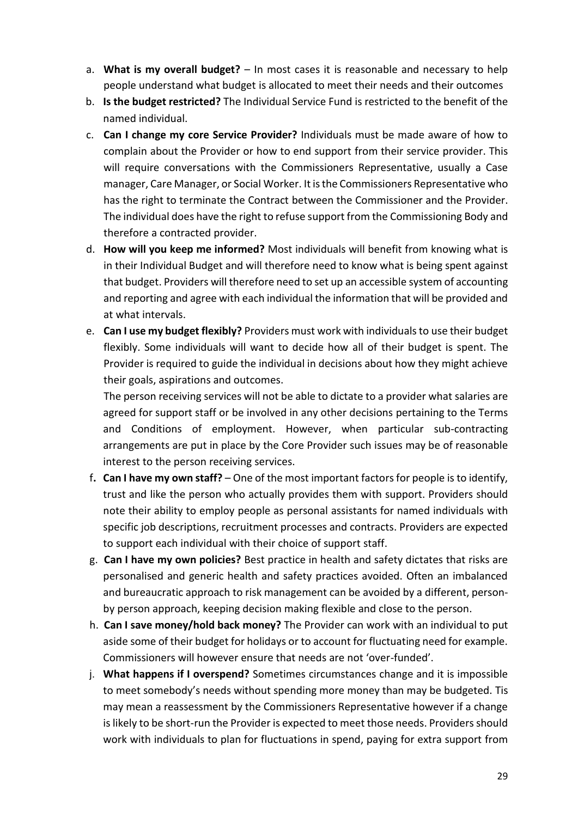- a. **What is my overall budget?** In most cases it is reasonable and necessary to help people understand what budget is allocated to meet their needs and their outcomes
- b. **Is the budget restricted?** The Individual Service Fund is restricted to the benefit of the named individual.
- c. **Can I change my core Service Provider?** Individuals must be made aware of how to complain about the Provider or how to end support from their service provider. This will require conversations with the Commissioners Representative, usually a Case manager, Care Manager, or Social Worker. It is the Commissioners Representative who has the right to terminate the Contract between the Commissioner and the Provider. The individual does have the right to refuse support from the Commissioning Body and therefore a contracted provider.
- d. **How will you keep me informed?** Most individuals will benefit from knowing what is in their Individual Budget and will therefore need to know what is being spent against that budget. Providers will therefore need to set up an accessible system of accounting and reporting and agree with each individual the information that will be provided and at what intervals.
- e. **Can I use my budget flexibly?** Providers must work with individuals to use their budget flexibly. Some individuals will want to decide how all of their budget is spent. The Provider is required to guide the individual in decisions about how they might achieve their goals, aspirations and outcomes.

 The person receiving services will not be able to dictate to a provider what salaries are agreed for support staff or be involved in any other decisions pertaining to the Terms and Conditions of employment. However, when particular sub-contracting arrangements are put in place by the Core Provider such issues may be of reasonable interest to the person receiving services.

- f**. Can I have my own staff?** One of the most important factors for people is to identify, trust and like the person who actually provides them with support. Providers should note their ability to employ people as personal assistants for named individuals with specific job descriptions, recruitment processes and contracts. Providers are expected to support each individual with their choice of support staff.
- g. **Can I have my own policies?** Best practice in health and safety dictates that risks are personalised and generic health and safety practices avoided. Often an imbalanced and bureaucratic approach to risk management can be avoided by a different, personby person approach, keeping decision making flexible and close to the person.
- h. **Can I save money/hold back money?** The Provider can work with an individual to put aside some of their budget for holidays or to account for fluctuating need for example. Commissioners will however ensure that needs are not 'over-funded'.
- j. **What happens if I overspend?** Sometimes circumstances change and it is impossible to meet somebody's needs without spending more money than may be budgeted. Tis may mean a reassessment by the Commissioners Representative however if a change is likely to be short-run the Provider is expected to meet those needs. Providers should work with individuals to plan for fluctuations in spend, paying for extra support from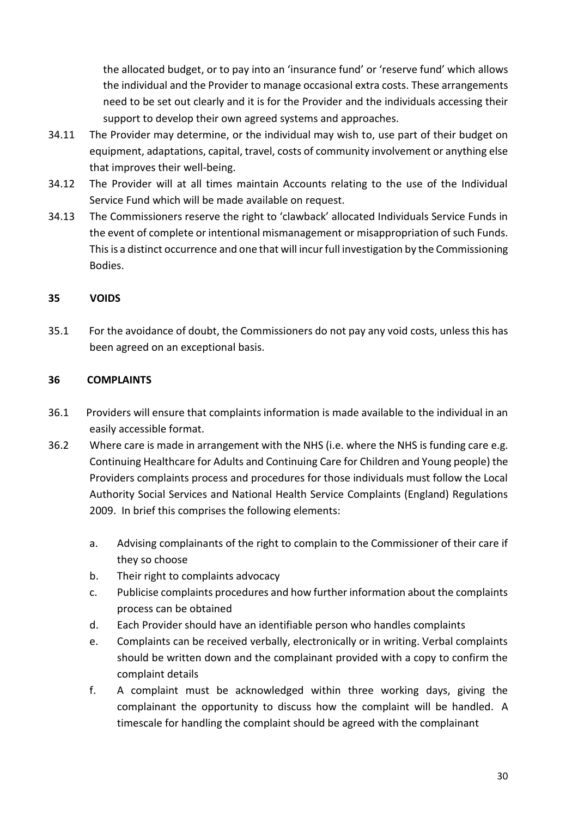the allocated budget, or to pay into an 'insurance fund' or 'reserve fund' which allows the individual and the Provider to manage occasional extra costs. These arrangements need to be set out clearly and it is for the Provider and the individuals accessing their support to develop their own agreed systems and approaches.

- 34.11 The Provider may determine, or the individual may wish to, use part of their budget on equipment, adaptations, capital, travel, costs of community involvement or anything else that improves their well-being.
- 34.12 The Provider will at all times maintain Accounts relating to the use of the Individual Service Fund which will be made available on request.
- 34.13 The Commissioners reserve the right to 'clawback' allocated Individuals Service Funds in the event of complete or intentional mismanagement or misappropriation of such Funds. This is a distinct occurrence and one that will incur full investigation by the Commissioning Bodies.

# **35 VOIDS**

35.1 For the avoidance of doubt, the Commissioners do not pay any void costs, unless this has been agreed on an exceptional basis.

# **36 COMPLAINTS**

- 36.1 Providers will ensure that complaints information is made available to the individual in an easily accessible format.
- 36.2 Where care is made in arrangement with the NHS (i.e. where the NHS is funding care e.g. Continuing Healthcare for Adults and Continuing Care for Children and Young people) the Providers complaints process and procedures for those individuals must follow the Local Authority Social Services and National Health Service Complaints (England) Regulations 2009. In brief this comprises the following elements:
	- a. Advising complainants of the right to complain to the Commissioner of their care if they so choose
	- b. Their right to complaints advocacy
	- c. Publicise complaints procedures and how further information about the complaints process can be obtained
	- d. Each Provider should have an identifiable person who handles complaints
	- e. Complaints can be received verbally, electronically or in writing. Verbal complaints should be written down and the complainant provided with a copy to confirm the complaint details
	- f. A complaint must be acknowledged within three working days, giving the complainant the opportunity to discuss how the complaint will be handled. A timescale for handling the complaint should be agreed with the complainant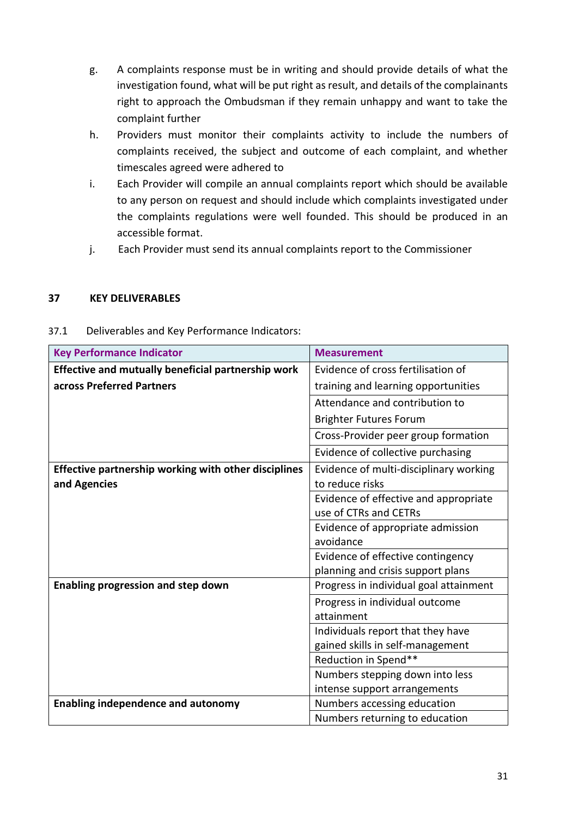- g. A complaints response must be in writing and should provide details of what the investigation found, what will be put right as result, and details of the complainants right to approach the Ombudsman if they remain unhappy and want to take the complaint further
- h. Providers must monitor their complaints activity to include the numbers of complaints received, the subject and outcome of each complaint, and whether timescales agreed were adhered to
- i. Each Provider will compile an annual complaints report which should be available to any person on request and should include which complaints investigated under the complaints regulations were well founded. This should be produced in an accessible format.
- j. Each Provider must send its annual complaints report to the Commissioner

#### **37 KEY DELIVERABLES**

#### 37.1 Deliverables and Key Performance Indicators:

| <b>Key Performance Indicator</b>                     | <b>Measurement</b>                     |
|------------------------------------------------------|----------------------------------------|
| Effective and mutually beneficial partnership work   | Evidence of cross fertilisation of     |
| across Preferred Partners                            | training and learning opportunities    |
|                                                      | Attendance and contribution to         |
|                                                      | <b>Brighter Futures Forum</b>          |
|                                                      | Cross-Provider peer group formation    |
|                                                      | Evidence of collective purchasing      |
| Effective partnership working with other disciplines | Evidence of multi-disciplinary working |
| and Agencies                                         | to reduce risks                        |
|                                                      | Evidence of effective and appropriate  |
|                                                      | use of CTRs and CETRs                  |
|                                                      | Evidence of appropriate admission      |
|                                                      | avoidance                              |
|                                                      | Evidence of effective contingency      |
|                                                      | planning and crisis support plans      |
| <b>Enabling progression and step down</b>            | Progress in individual goal attainment |
|                                                      | Progress in individual outcome         |
|                                                      | attainment                             |
|                                                      | Individuals report that they have      |
|                                                      | gained skills in self-management       |
|                                                      | Reduction in Spend**                   |
|                                                      | Numbers stepping down into less        |
|                                                      | intense support arrangements           |
| <b>Enabling independence and autonomy</b>            | Numbers accessing education            |
|                                                      | Numbers returning to education         |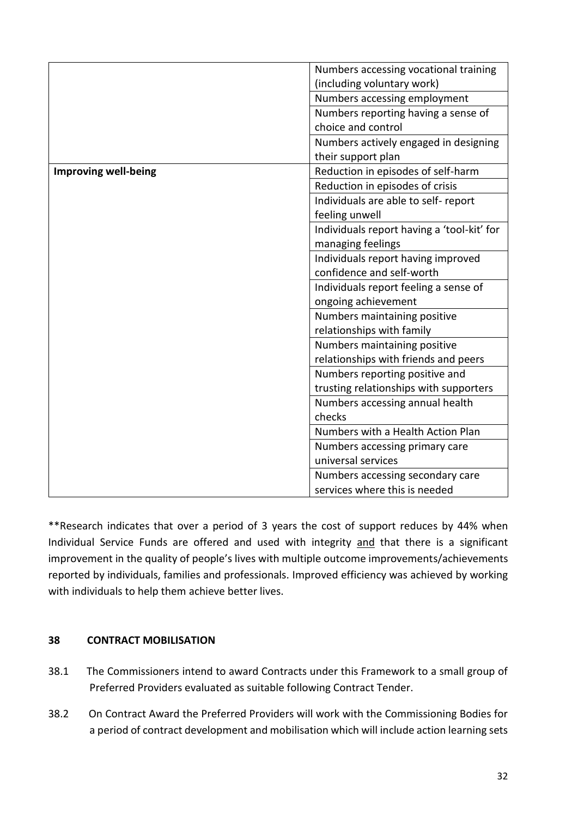|                             | Numbers accessing vocational training      |
|-----------------------------|--------------------------------------------|
|                             | (including voluntary work)                 |
|                             | Numbers accessing employment               |
|                             | Numbers reporting having a sense of        |
|                             | choice and control                         |
|                             | Numbers actively engaged in designing      |
|                             | their support plan                         |
| <b>Improving well-being</b> | Reduction in episodes of self-harm         |
|                             | Reduction in episodes of crisis            |
|                             | Individuals are able to self- report       |
|                             | feeling unwell                             |
|                             | Individuals report having a 'tool-kit' for |
|                             | managing feelings                          |
|                             | Individuals report having improved         |
|                             | confidence and self-worth                  |
|                             | Individuals report feeling a sense of      |
|                             | ongoing achievement                        |
|                             | Numbers maintaining positive               |
|                             | relationships with family                  |
|                             | Numbers maintaining positive               |
|                             | relationships with friends and peers       |
|                             | Numbers reporting positive and             |
|                             | trusting relationships with supporters     |
|                             | Numbers accessing annual health            |
|                             | checks                                     |
|                             | Numbers with a Health Action Plan          |
|                             | Numbers accessing primary care             |
|                             | universal services                         |
|                             | Numbers accessing secondary care           |
|                             | services where this is needed              |

\*\*Research indicates that over a period of 3 years the cost of support reduces by 44% when Individual Service Funds are offered and used with integrity and that there is a significant improvement in the quality of people's lives with multiple outcome improvements/achievements reported by individuals, families and professionals. Improved efficiency was achieved by working with individuals to help them achieve better lives.

# **38 CONTRACT MOBILISATION**

- 38.1 The Commissioners intend to award Contracts under this Framework to a small group of Preferred Providers evaluated as suitable following Contract Tender.
- 38.2 On Contract Award the Preferred Providers will work with the Commissioning Bodies for a period of contract development and mobilisation which will include action learning sets